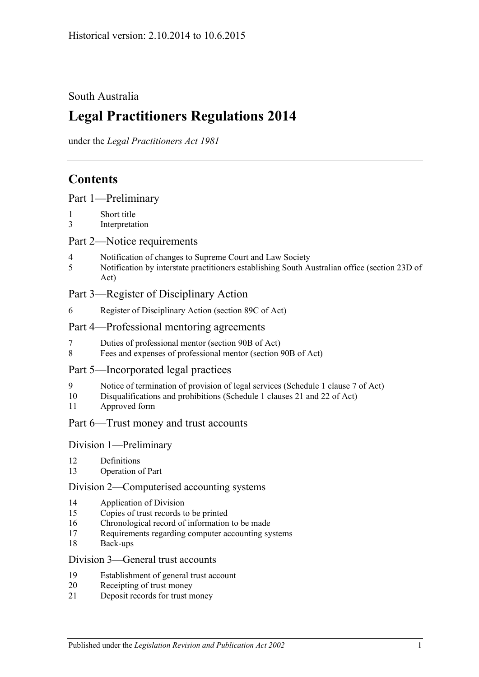## South Australia

# **Legal Practitioners Regulations 2014**

under the *Legal Practitioners Act 1981*

## **Contents**

|  |  | Part 1-Preliminary |  |
|--|--|--------------------|--|
|  |  |                    |  |

- 1 [Short title](#page-2-1)
- 3 [Interpretation](#page-2-2)

## Part [2—Notice requirements](#page-2-3)

- 4 [Notification of changes to Supreme Court and Law Society](#page-2-4)
- 5 [Notification by interstate practitioners establishing South Australian office \(section](#page-3-0) 23D of [Act\)](#page-3-0)

## Part [3—Register of Disciplinary Action](#page-4-0)

6 [Register of Disciplinary Action \(section](#page-4-1) 89C of Act)

## Part [4—Professional mentoring agreements](#page-4-2)

- 7 [Duties of professional mentor \(section 90B of Act\)](#page-4-3)
- 8 [Fees and expenses of professional mentor \(section](#page-4-4) 90B of Act)

## Part [5—Incorporated legal practices](#page-4-5)

- 9 [Notice of termination of provision of legal services \(Schedule](#page-4-6) 1 clause 7 of Act)
- 10 [Disqualifications and prohibitions \(Schedule](#page-5-0) 1 clauses 21 and 22 of Act)
- 11 [Approved form](#page-6-0)

## Part [6—Trust money and trust accounts](#page-6-1)

## Division [1—Preliminary](#page-6-2)

- 12 [Definitions](#page-6-3)
- 13 [Operation of Part](#page-6-4)

## Division [2—Computerised accounting systems](#page-7-0)

- 14 [Application of Division](#page-7-1)
- 15 [Copies of trust records to be printed](#page-7-2)
- 16 [Chronological record of information to be made](#page-7-3)
- 17 [Requirements regarding computer accounting systems](#page-8-0)
- 18 [Back-ups](#page-8-1)

## Division [3—General trust accounts](#page-8-2)

- 19 [Establishment of general trust account](#page-8-3)
- 20 [Receipting of trust money](#page-9-0)
- 21 [Deposit records for trust money](#page-10-0)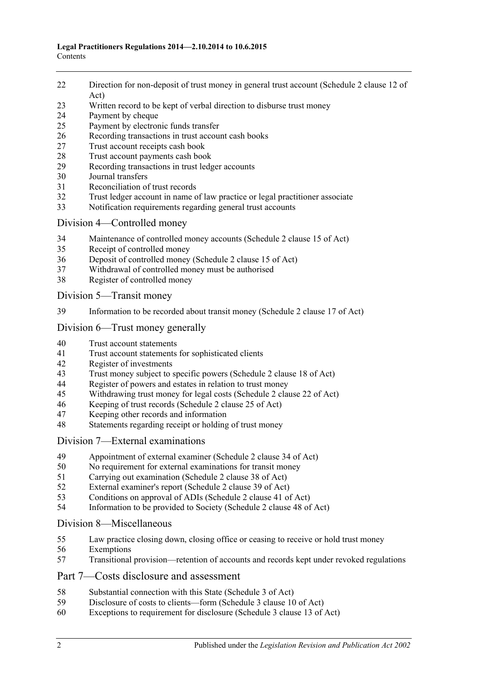- [Direction for non-deposit of trust money in general trust account \(Schedule](#page-10-1) 2 clause 12 of [Act\)](#page-10-1)
- [Written record to be kept of verbal direction to disburse trust money](#page-10-2)
- [Payment by cheque](#page-10-3)
- [Payment by electronic funds transfer](#page-12-0)
- [Recording transactions in trust account cash books](#page-13-0)
- [Trust account receipts cash book](#page-13-1)
- [Trust account payments cash book](#page-14-0)
- [Recording transactions in trust ledger accounts](#page-15-0)
- [Journal transfers](#page-16-0)
- [Reconciliation of trust records](#page-17-0)
- [Trust ledger account in name of law practice or legal practitioner associate](#page-17-1)
- [Notification requirements regarding general trust accounts](#page-18-0)

## Division [4—Controlled money](#page-19-0)

- [Maintenance of controlled money accounts \(Schedule](#page-19-1) 2 clause 15 of Act)
- [Receipt of controlled money](#page-19-2)
- [Deposit of controlled money \(Schedule](#page-20-0) 2 clause 15 of Act)
- [Withdrawal of controlled money must be authorised](#page-20-1)
- [Register of controlled money](#page-21-0)

Division [5—Transit money](#page-22-0)

[Information to be recorded about transit money \(Schedule](#page-22-1) 2 clause 17 of Act)

## Division [6—Trust money generally](#page-22-2)

- [Trust account statements](#page-22-3)
- [Trust account statements for sophisticated clients](#page-23-0)
- [Register of investments](#page-23-1)<br>43 Trust money subject to s
- [Trust money subject to specific powers \(Schedule 2 clause 18 of Act\)](#page-24-0)
- [Register of powers and estates in relation to trust money](#page-24-1)<br>45 Withdrawing trust money for legal costs (Schedule 2 clar
- [Withdrawing trust money for legal costs \(Schedule](#page-25-0) 2 clause 22 of Act)
- [Keeping of trust records \(Schedule](#page-26-0) 2 clause 25 of Act)
- [Keeping other records and information](#page-26-1)
- [Statements regarding receipt or holding of trust money](#page-26-2)

## Division [7—External examinations](#page-27-0)

- [Appointment of external examiner \(Schedule](#page-27-1) 2 clause 34 of Act)
- [No requirement for external examinations for transit money](#page-27-2)
- [Carrying out examination \(Schedule](#page-28-0) 2 clause 38 of Act)
- [External examiner's report \(Schedule](#page-28-1) 2 clause 39 of Act)
- [Conditions on approval of ADIs \(Schedule](#page-29-0) 2 clause 41 of Act)
- [Information to be provided to Society \(Schedule](#page-30-0) 2 clause 48 of Act)

## Division [8—Miscellaneous](#page-30-1)

- [Law practice closing down, closing office or ceasing to receive or hold trust money](#page-30-2)
- [Exemptions](#page-31-0)
- [Transitional provision—retention of accounts and records kept under revoked regulations](#page-31-1)

## Part [7—Costs disclosure and assessment](#page-31-2)

- [Substantial connection with this State \(Schedule](#page-31-3) 3 of Act)
- [Disclosure of costs to clients—form \(Schedule](#page-32-0) 3 clause 10 of Act)
- [Exceptions to requirement for disclosure \(Schedule](#page-32-1) 3 clause 13 of Act)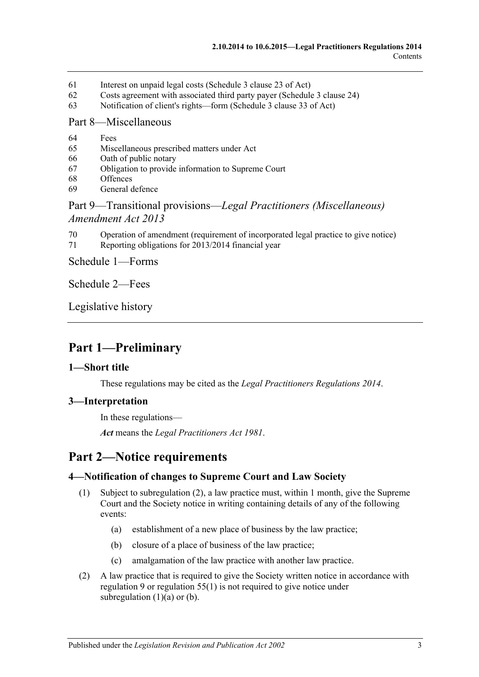- 61 [Interest on unpaid legal costs \(Schedule](#page-32-2) 3 clause 23 of Act)
- 62 [Costs agreement with associated third party payer \(Schedule](#page-32-3) 3 clause 24)
- 63 [Notification of client's rights—form \(Schedule](#page-32-4) 3 clause 33 of Act)

#### Part [8—Miscellaneous](#page-32-5)

- 64 [Fees](#page-32-6)
- 65 [Miscellaneous prescribed matters under Act](#page-33-0)
- 66 [Oath of public notary](#page-33-1)
- 67 [Obligation to provide information to Supreme Court](#page-33-2)
- 68 [Offences](#page-34-0)
- 69 [General defence](#page-34-1)

## Part 9—Transitional provisions—*[Legal Practitioners \(Miscellaneous\)](#page-34-2)  [Amendment Act](#page-34-2) 2013*

- 70 [Operation of amendment \(requirement of incorporated legal practice to give notice\)](#page-34-3)
- 71 [Reporting obligations for 2013/2014 financial year](#page-34-4)

Schedule [1—Forms](#page-35-0)

[Schedule](#page-36-0) 2—Fees

[Legislative history](#page-37-0)

## <span id="page-2-0"></span>**Part 1—Preliminary**

## <span id="page-2-1"></span>**1—Short title**

These regulations may be cited as the *Legal Practitioners Regulations 2014*.

## <span id="page-2-2"></span>**3—Interpretation**

In these regulations—

*Act* means the *[Legal Practitioners Act](http://www.legislation.sa.gov.au/index.aspx?action=legref&type=act&legtitle=Legal%20Practitioners%20Act%201981) 1981*.

## <span id="page-2-3"></span>**Part 2—Notice requirements**

## <span id="page-2-8"></span><span id="page-2-4"></span>**4—Notification of changes to Supreme Court and Law Society**

- <span id="page-2-6"></span>(1) Subject to [subregulation](#page-2-5) (2), a law practice must, within 1 month, give the Supreme Court and the Society notice in writing containing details of any of the following events:
	- (a) establishment of a new place of business by the law practice;
	- (b) closure of a place of business of the law practice;
	- (c) amalgamation of the law practice with another law practice.
- <span id="page-2-7"></span><span id="page-2-5"></span>(2) A law practice that is required to give the Society written notice in accordance with [regulation](#page-4-6) 9 or [regulation](#page-30-3) 55(1) is not required to give notice under [subregulation](#page-2-6)  $(1)(a)$  or  $(b)$ .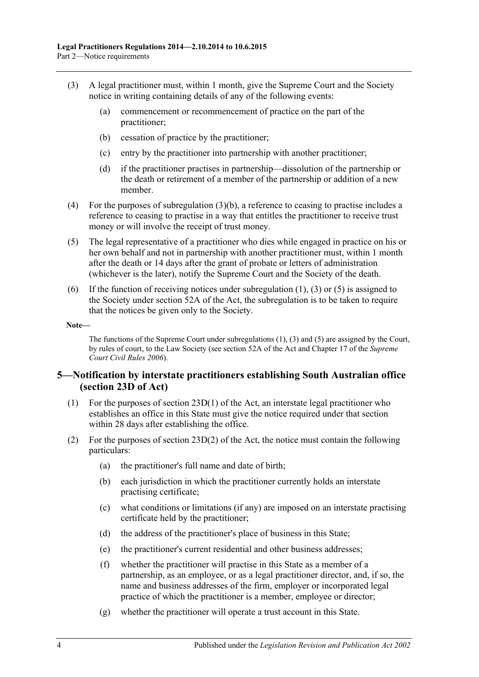- <span id="page-3-2"></span><span id="page-3-1"></span>(3) A legal practitioner must, within 1 month, give the Supreme Court and the Society notice in writing containing details of any of the following events:
	- (a) commencement or recommencement of practice on the part of the practitioner;
	- (b) cessation of practice by the practitioner;
	- (c) entry by the practitioner into partnership with another practitioner;
	- (d) if the practitioner practises in partnership—dissolution of the partnership or the death or retirement of a member of the partnership or addition of a new member.
- (4) For the purposes of [subregulation](#page-3-1) (3)(b), a reference to ceasing to practise includes a reference to ceasing to practise in a way that entitles the practitioner to receive trust money or will involve the receipt of trust money.
- <span id="page-3-3"></span>(5) The legal representative of a practitioner who dies while engaged in practice on his or her own behalf and not in partnership with another practitioner must, within 1 month after the death or 14 days after the grant of probate or letters of administration (whichever is the later), notify the Supreme Court and the Society of the death.
- (6) If the function of receiving notices under [subregulation](#page-2-8)  $(1)$ ,  $(3)$  or  $(5)$  is assigned to the Society under section 52A of the Act, the subregulation is to be taken to require that the notices be given only to the Society.

#### **Note—**

The functions of the Supreme Court unde[r subregulations](#page-2-8) (1), [\(3\)](#page-3-2) and [\(5\)](#page-3-3) are assigned by the Court, by rules of court, to the Law Society (see section 52A of the Act and Chapter 17 of the *Supreme Court Civil Rules 2006*).

## <span id="page-3-0"></span>**5—Notification by interstate practitioners establishing South Australian office (section 23D of Act)**

- (1) For the purposes of section 23D(1) of the Act, an interstate legal practitioner who establishes an office in this State must give the notice required under that section within 28 days after establishing the office.
- (2) For the purposes of section  $23D(2)$  of the Act, the notice must contain the following particulars:
	- (a) the practitioner's full name and date of birth;
	- (b) each jurisdiction in which the practitioner currently holds an interstate practising certificate;
	- (c) what conditions or limitations (if any) are imposed on an interstate practising certificate held by the practitioner;
	- (d) the address of the practitioner's place of business in this State;
	- (e) the practitioner's current residential and other business addresses;
	- (f) whether the practitioner will practise in this State as a member of a partnership, as an employee, or as a legal practitioner director, and, if so, the name and business addresses of the firm, employer or incorporated legal practice of which the practitioner is a member, employee or director;
	- (g) whether the practitioner will operate a trust account in this State.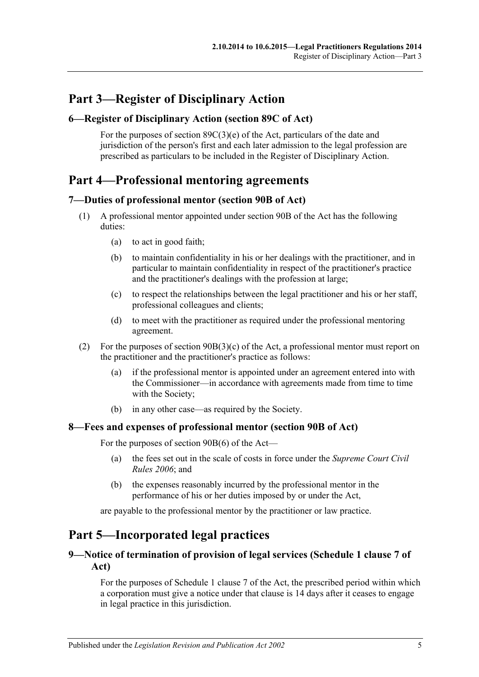# <span id="page-4-0"></span>**Part 3—Register of Disciplinary Action**

## <span id="page-4-1"></span>**6—Register of Disciplinary Action (section 89C of Act)**

For the purposes of section  $89C(3)(e)$  of the Act, particulars of the date and jurisdiction of the person's first and each later admission to the legal profession are prescribed as particulars to be included in the Register of Disciplinary Action.

## <span id="page-4-2"></span>**Part 4—Professional mentoring agreements**

## <span id="page-4-3"></span>**7—Duties of professional mentor (section 90B of Act)**

- (1) A professional mentor appointed under section 90B of the Act has the following duties:
	- (a) to act in good faith;
	- (b) to maintain confidentiality in his or her dealings with the practitioner, and in particular to maintain confidentiality in respect of the practitioner's practice and the practitioner's dealings with the profession at large;
	- (c) to respect the relationships between the legal practitioner and his or her staff, professional colleagues and clients;
	- (d) to meet with the practitioner as required under the professional mentoring agreement.
- (2) For the purposes of section 90B(3)(c) of the Act, a professional mentor must report on the practitioner and the practitioner's practice as follows:
	- (a) if the professional mentor is appointed under an agreement entered into with the Commissioner—in accordance with agreements made from time to time with the Society;
	- (b) in any other case—as required by the Society.

## <span id="page-4-4"></span>**8—Fees and expenses of professional mentor (section 90B of Act)**

For the purposes of section 90B(6) of the Act—

- (a) the fees set out in the scale of costs in force under the *Supreme Court Civil Rules 2006*; and
- (b) the expenses reasonably incurred by the professional mentor in the performance of his or her duties imposed by or under the Act,

are payable to the professional mentor by the practitioner or law practice.

## <span id="page-4-5"></span>**Part 5—Incorporated legal practices**

## <span id="page-4-6"></span>**9—Notice of termination of provision of legal services (Schedule 1 clause 7 of Act)**

For the purposes of Schedule 1 clause 7 of the Act, the prescribed period within which a corporation must give a notice under that clause is 14 days after it ceases to engage in legal practice in this jurisdiction.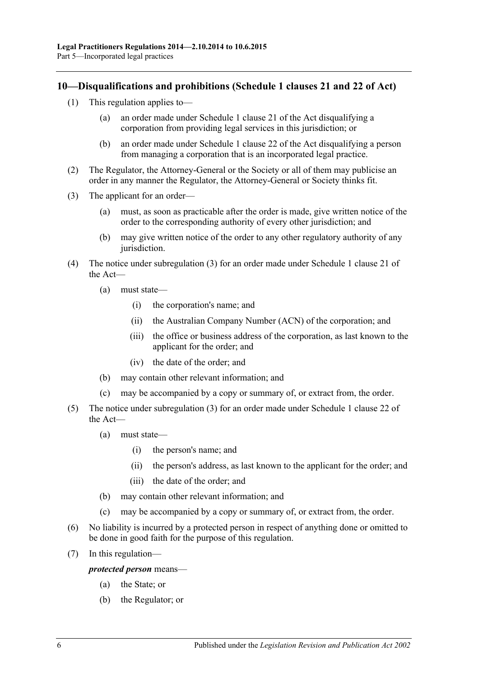## <span id="page-5-0"></span>**10—Disqualifications and prohibitions (Schedule 1 clauses 21 and 22 of Act)**

- (1) This regulation applies to—
	- (a) an order made under Schedule 1 clause 21 of the Act disqualifying a corporation from providing legal services in this jurisdiction; or
	- (b) an order made under Schedule 1 clause 22 of the Act disqualifying a person from managing a corporation that is an incorporated legal practice.
- (2) The Regulator, the Attorney-General or the Society or all of them may publicise an order in any manner the Regulator, the Attorney-General or Society thinks fit.
- <span id="page-5-1"></span>(3) The applicant for an order—
	- (a) must, as soon as practicable after the order is made, give written notice of the order to the corresponding authority of every other jurisdiction; and
	- (b) may give written notice of the order to any other regulatory authority of any jurisdiction.
- (4) The notice under [subregulation](#page-5-1) (3) for an order made under Schedule 1 clause 21 of the Act—
	- (a) must state—
		- (i) the corporation's name; and
		- (ii) the Australian Company Number (ACN) of the corporation; and
		- (iii) the office or business address of the corporation, as last known to the applicant for the order; and
		- (iv) the date of the order; and
	- (b) may contain other relevant information; and
	- (c) may be accompanied by a copy or summary of, or extract from, the order.
- (5) The notice under [subregulation](#page-5-1) (3) for an order made under Schedule 1 clause 22 of the Act—
	- (a) must state—
		- (i) the person's name; and
		- (ii) the person's address, as last known to the applicant for the order; and
		- (iii) the date of the order; and
	- (b) may contain other relevant information; and
	- (c) may be accompanied by a copy or summary of, or extract from, the order.
- (6) No liability is incurred by a protected person in respect of anything done or omitted to be done in good faith for the purpose of this regulation.
- (7) In this regulation—

*protected person* means—

- (a) the State; or
- (b) the Regulator; or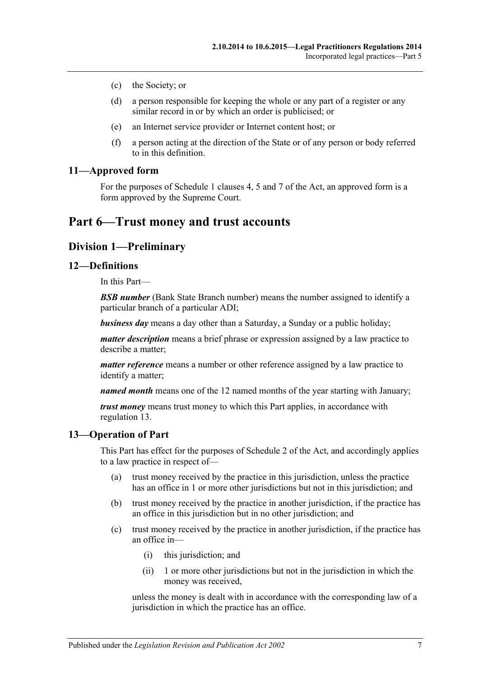- (c) the Society; or
- (d) a person responsible for keeping the whole or any part of a register or any similar record in or by which an order is publicised; or
- (e) an Internet service provider or Internet content host; or
- (f) a person acting at the direction of the State or of any person or body referred to in this definition.

## <span id="page-6-0"></span>**11—Approved form**

For the purposes of Schedule 1 clauses 4, 5 and 7 of the Act, an approved form is a form approved by the Supreme Court.

## <span id="page-6-2"></span><span id="page-6-1"></span>**Part 6—Trust money and trust accounts**

## **Division 1—Preliminary**

#### <span id="page-6-3"></span>**12—Definitions**

In this Part—

*BSB number* (Bank State Branch number) means the number assigned to identify a particular branch of a particular ADI;

*business day* means a day other than a Saturday, a Sunday or a public holiday;

*matter description* means a brief phrase or expression assigned by a law practice to describe a matter;

*matter reference* means a number or other reference assigned by a law practice to identify a matter;

*named month* means one of the 12 named months of the year starting with January;

*trust money* means trust money to which this Part applies, in accordance with [regulation](#page-6-4) 13.

#### <span id="page-6-4"></span>**13—Operation of Part**

This Part has effect for the purposes of Schedule 2 of the Act, and accordingly applies to a law practice in respect of—

- (a) trust money received by the practice in this jurisdiction, unless the practice has an office in 1 or more other jurisdictions but not in this jurisdiction; and
- (b) trust money received by the practice in another jurisdiction, if the practice has an office in this jurisdiction but in no other jurisdiction; and
- (c) trust money received by the practice in another jurisdiction, if the practice has an office in—
	- (i) this jurisdiction; and
	- (ii) 1 or more other jurisdictions but not in the jurisdiction in which the money was received,

unless the money is dealt with in accordance with the corresponding law of a jurisdiction in which the practice has an office.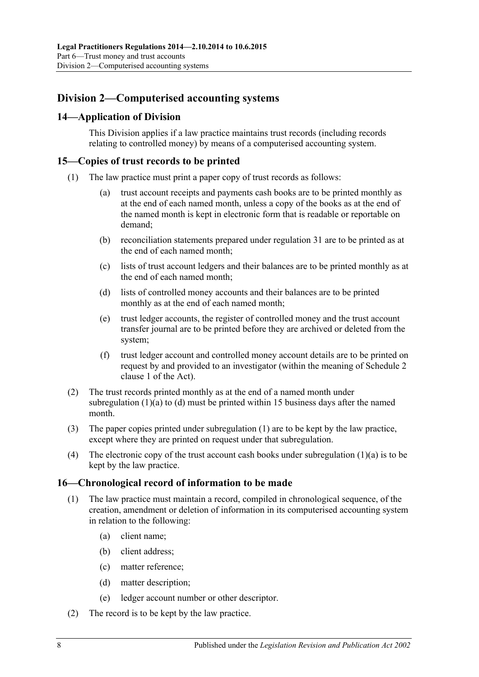## <span id="page-7-0"></span>**Division 2—Computerised accounting systems**

## <span id="page-7-1"></span>**14—Application of Division**

This Division applies if a law practice maintains trust records (including records relating to controlled money) by means of a computerised accounting system.

## <span id="page-7-6"></span><span id="page-7-2"></span>**15—Copies of trust records to be printed**

- <span id="page-7-4"></span>(1) The law practice must print a paper copy of trust records as follows:
	- (a) trust account receipts and payments cash books are to be printed monthly as at the end of each named month, unless a copy of the books as at the end of the named month is kept in electronic form that is readable or reportable on demand;
	- (b) reconciliation statements prepared under [regulation](#page-17-0) 31 are to be printed as at the end of each named month;
	- (c) lists of trust account ledgers and their balances are to be printed monthly as at the end of each named month;
	- (d) lists of controlled money accounts and their balances are to be printed monthly as at the end of each named month;
	- (e) trust ledger accounts, the register of controlled money and the trust account transfer journal are to be printed before they are archived or deleted from the system;
	- (f) trust ledger account and controlled money account details are to be printed on request by and provided to an investigator (within the meaning of Schedule 2 clause 1 of the Act).
- <span id="page-7-5"></span>(2) The trust records printed monthly as at the end of a named month under [subregulation](#page-7-4)  $(1)(a)$  to  $(d)$  must be printed within 15 business days after the named month.
- (3) The paper copies printed under [subregulation](#page-7-6) (1) are to be kept by the law practice, except where they are printed on request under that subregulation.
- (4) The electronic copy of the trust account cash books under [subregulation](#page-7-4) (1)(a) is to be kept by the law practice.

## <span id="page-7-3"></span>**16—Chronological record of information to be made**

- (1) The law practice must maintain a record, compiled in chronological sequence, of the creation, amendment or deletion of information in its computerised accounting system in relation to the following:
	- (a) client name;
	- (b) client address;
	- (c) matter reference;
	- (d) matter description;
	- (e) ledger account number or other descriptor.
- (2) The record is to be kept by the law practice.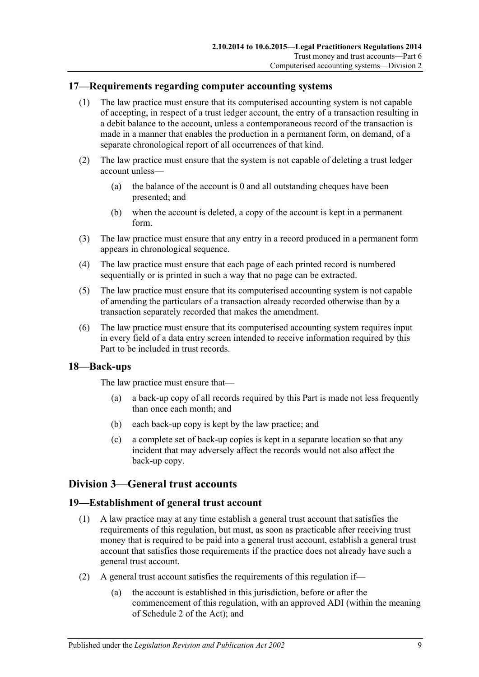## <span id="page-8-0"></span>**17—Requirements regarding computer accounting systems**

- (1) The law practice must ensure that its computerised accounting system is not capable of accepting, in respect of a trust ledger account, the entry of a transaction resulting in a debit balance to the account, unless a contemporaneous record of the transaction is made in a manner that enables the production in a permanent form, on demand, of a separate chronological report of all occurrences of that kind.
- (2) The law practice must ensure that the system is not capable of deleting a trust ledger account unless—
	- (a) the balance of the account is 0 and all outstanding cheques have been presented; and
	- (b) when the account is deleted, a copy of the account is kept in a permanent form.
- (3) The law practice must ensure that any entry in a record produced in a permanent form appears in chronological sequence.
- (4) The law practice must ensure that each page of each printed record is numbered sequentially or is printed in such a way that no page can be extracted.
- (5) The law practice must ensure that its computerised accounting system is not capable of amending the particulars of a transaction already recorded otherwise than by a transaction separately recorded that makes the amendment.
- (6) The law practice must ensure that its computerised accounting system requires input in every field of a data entry screen intended to receive information required by this Part to be included in trust records.

## <span id="page-8-1"></span>**18—Back-ups**

The law practice must ensure that—

- (a) a back-up copy of all records required by this Part is made not less frequently than once each month; and
- (b) each back-up copy is kept by the law practice; and
- (c) a complete set of back-up copies is kept in a separate location so that any incident that may adversely affect the records would not also affect the back-up copy.

## <span id="page-8-2"></span>**Division 3—General trust accounts**

## <span id="page-8-3"></span>**19—Establishment of general trust account**

- (1) A law practice may at any time establish a general trust account that satisfies the requirements of this regulation, but must, as soon as practicable after receiving trust money that is required to be paid into a general trust account, establish a general trust account that satisfies those requirements if the practice does not already have such a general trust account.
- (2) A general trust account satisfies the requirements of this regulation if—
	- (a) the account is established in this jurisdiction, before or after the commencement of this regulation, with an approved ADI (within the meaning of Schedule 2 of the Act); and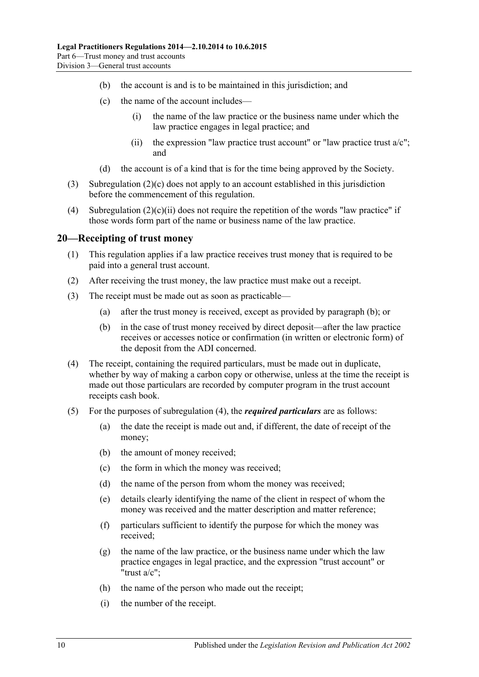- (b) the account is and is to be maintained in this jurisdiction; and
- <span id="page-9-1"></span>(c) the name of the account includes—
	- (i) the name of the law practice or the business name under which the law practice engages in legal practice; and
	- (ii) the expression "law practice trust account" or "law practice trust  $a/c$ "; and
- (d) the account is of a kind that is for the time being approved by the Society.
- <span id="page-9-2"></span>(3) [Subregulation](#page-9-1) (2)(c) does not apply to an account established in this jurisdiction before the commencement of this regulation.
- (4) [Subregulation](#page-9-2)  $(2)(c)(ii)$  does not require the repetition of the words "law practice" if those words form part of the name or business name of the law practice.

#### <span id="page-9-0"></span>**20—Receipting of trust money**

- (1) This regulation applies if a law practice receives trust money that is required to be paid into a general trust account.
- (2) After receiving the trust money, the law practice must make out a receipt.
- <span id="page-9-3"></span>(3) The receipt must be made out as soon as practicable—
	- (a) after the trust money is received, except as provided by [paragraph](#page-9-3) (b); or
	- (b) in the case of trust money received by direct deposit—after the law practice receives or accesses notice or confirmation (in written or electronic form) of the deposit from the ADI concerned.
- <span id="page-9-4"></span>(4) The receipt, containing the required particulars, must be made out in duplicate, whether by way of making a carbon copy or otherwise, unless at the time the receipt is made out those particulars are recorded by computer program in the trust account receipts cash book.
- (5) For the purposes of [subregulation](#page-9-4) (4), the *required particulars* are as follows:
	- (a) the date the receipt is made out and, if different, the date of receipt of the money;
	- (b) the amount of money received;
	- (c) the form in which the money was received;
	- (d) the name of the person from whom the money was received;
	- (e) details clearly identifying the name of the client in respect of whom the money was received and the matter description and matter reference;
	- (f) particulars sufficient to identify the purpose for which the money was received;
	- $(g)$  the name of the law practice, or the business name under which the law practice engages in legal practice, and the expression "trust account" or "trust a/c";
	- (h) the name of the person who made out the receipt;
	- (i) the number of the receipt.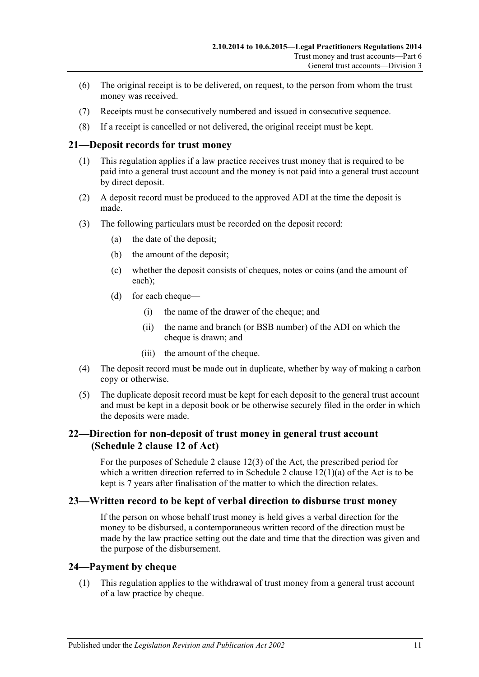- (6) The original receipt is to be delivered, on request, to the person from whom the trust money was received.
- (7) Receipts must be consecutively numbered and issued in consecutive sequence.
- (8) If a receipt is cancelled or not delivered, the original receipt must be kept.

#### <span id="page-10-0"></span>**21—Deposit records for trust money**

- (1) This regulation applies if a law practice receives trust money that is required to be paid into a general trust account and the money is not paid into a general trust account by direct deposit.
- (2) A deposit record must be produced to the approved ADI at the time the deposit is made.
- (3) The following particulars must be recorded on the deposit record:
	- (a) the date of the deposit;
	- (b) the amount of the deposit;
	- (c) whether the deposit consists of cheques, notes or coins (and the amount of each);
	- (d) for each cheque—
		- (i) the name of the drawer of the cheque; and
		- (ii) the name and branch (or BSB number) of the ADI on which the cheque is drawn; and
		- (iii) the amount of the cheque.
- (4) The deposit record must be made out in duplicate, whether by way of making a carbon copy or otherwise.
- (5) The duplicate deposit record must be kept for each deposit to the general trust account and must be kept in a deposit book or be otherwise securely filed in the order in which the deposits were made.

## <span id="page-10-1"></span>**22—Direction for non-deposit of trust money in general trust account (Schedule 2 clause 12 of Act)**

For the purposes of Schedule 2 clause 12(3) of the Act, the prescribed period for which a written direction referred to in Schedule 2 clause  $12(1)(a)$  of the Act is to be kept is 7 years after finalisation of the matter to which the direction relates.

#### <span id="page-10-2"></span>**23—Written record to be kept of verbal direction to disburse trust money**

If the person on whose behalf trust money is held gives a verbal direction for the money to be disbursed, a contemporaneous written record of the direction must be made by the law practice setting out the date and time that the direction was given and the purpose of the disbursement.

#### <span id="page-10-3"></span>**24—Payment by cheque**

(1) This regulation applies to the withdrawal of trust money from a general trust account of a law practice by cheque.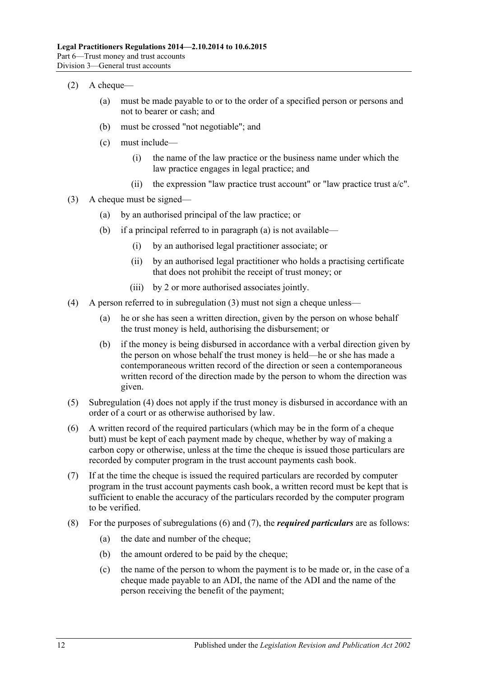- <span id="page-11-5"></span> $(2)$  A cheque—
	- (a) must be made payable to or to the order of a specified person or persons and not to bearer or cash; and
	- (b) must be crossed "not negotiable"; and
	- (c) must include—
		- (i) the name of the law practice or the business name under which the law practice engages in legal practice; and
		- (ii) the expression "law practice trust account" or "law practice trust  $a/c$ ".
- <span id="page-11-6"></span><span id="page-11-1"></span><span id="page-11-0"></span>(3) A cheque must be signed—
	- (a) by an authorised principal of the law practice; or
	- (b) if a principal referred to in [paragraph](#page-11-0) (a) is not available—
		- (i) by an authorised legal practitioner associate; or
		- (ii) by an authorised legal practitioner who holds a practising certificate that does not prohibit the receipt of trust money; or
		- (iii) by 2 or more authorised associates jointly.
- <span id="page-11-2"></span>(4) A person referred to in [subregulation](#page-11-1) (3) must not sign a cheque unless—
	- (a) he or she has seen a written direction, given by the person on whose behalf the trust money is held, authorising the disbursement; or
	- (b) if the money is being disbursed in accordance with a verbal direction given by the person on whose behalf the trust money is held—he or she has made a contemporaneous written record of the direction or seen a contemporaneous written record of the direction made by the person to whom the direction was given.
- (5) [Subregulation](#page-11-2) (4) does not apply if the trust money is disbursed in accordance with an order of a court or as otherwise authorised by law.
- <span id="page-11-3"></span>(6) A written record of the required particulars (which may be in the form of a cheque butt) must be kept of each payment made by cheque, whether by way of making a carbon copy or otherwise, unless at the time the cheque is issued those particulars are recorded by computer program in the trust account payments cash book.
- <span id="page-11-4"></span>(7) If at the time the cheque is issued the required particulars are recorded by computer program in the trust account payments cash book, a written record must be kept that is sufficient to enable the accuracy of the particulars recorded by the computer program to be verified.
- (8) For the purposes of [subregulations](#page-11-3) (6) and [\(7\),](#page-11-4) the *required particulars* are as follows:
	- (a) the date and number of the cheque;
	- (b) the amount ordered to be paid by the cheque;
	- (c) the name of the person to whom the payment is to be made or, in the case of a cheque made payable to an ADI, the name of the ADI and the name of the person receiving the benefit of the payment;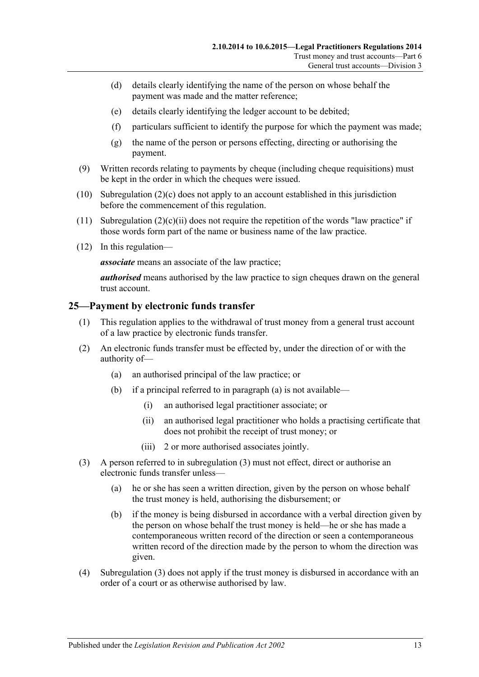- (d) details clearly identifying the name of the person on whose behalf the payment was made and the matter reference;
- (e) details clearly identifying the ledger account to be debited;
- (f) particulars sufficient to identify the purpose for which the payment was made;
- (g) the name of the person or persons effecting, directing or authorising the payment.
- (9) Written records relating to payments by cheque (including cheque requisitions) must be kept in the order in which the cheques were issued.
- (10) [Subregulation](#page-11-5) (2)(c) does not apply to an account established in this jurisdiction before the commencement of this regulation.
- (11) [Subregulation](#page-11-6)  $(2)(c)(ii)$  does not require the repetition of the words "law practice" if those words form part of the name or business name of the law practice.
- (12) In this regulation—

*associate* means an associate of the law practice;

*authorised* means authorised by the law practice to sign cheques drawn on the general trust account.

## <span id="page-12-0"></span>**25—Payment by electronic funds transfer**

- (1) This regulation applies to the withdrawal of trust money from a general trust account of a law practice by electronic funds transfer.
- <span id="page-12-1"></span>(2) An electronic funds transfer must be effected by, under the direction of or with the authority of—
	- (a) an authorised principal of the law practice; or
	- (b) if a principal referred to in [paragraph](#page-12-1) (a) is not available—
		- (i) an authorised legal practitioner associate; or
		- (ii) an authorised legal practitioner who holds a practising certificate that does not prohibit the receipt of trust money; or
		- (iii) 2 or more authorised associates jointly.
- <span id="page-12-2"></span>(3) A person referred to in [subregulation](#page-11-1) (3) must not effect, direct or authorise an electronic funds transfer unless—
	- (a) he or she has seen a written direction, given by the person on whose behalf the trust money is held, authorising the disbursement; or
	- (b) if the money is being disbursed in accordance with a verbal direction given by the person on whose behalf the trust money is held—he or she has made a contemporaneous written record of the direction or seen a contemporaneous written record of the direction made by the person to whom the direction was given.
- (4) [Subregulation](#page-12-2) (3) does not apply if the trust money is disbursed in accordance with an order of a court or as otherwise authorised by law.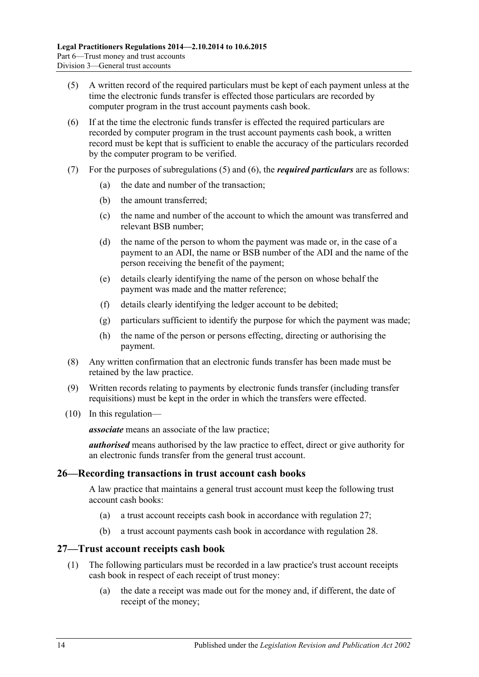- <span id="page-13-2"></span>(5) A written record of the required particulars must be kept of each payment unless at the time the electronic funds transfer is effected those particulars are recorded by computer program in the trust account payments cash book.
- <span id="page-13-3"></span>(6) If at the time the electronic funds transfer is effected the required particulars are recorded by computer program in the trust account payments cash book, a written record must be kept that is sufficient to enable the accuracy of the particulars recorded by the computer program to be verified.
- (7) For the purposes of [subregulations](#page-13-2) (5) and [\(6\),](#page-13-3) the *required particulars* are as follows:
	- (a) the date and number of the transaction;
	- (b) the amount transferred;
	- (c) the name and number of the account to which the amount was transferred and relevant BSB number;
	- (d) the name of the person to whom the payment was made or, in the case of a payment to an ADI, the name or BSB number of the ADI and the name of the person receiving the benefit of the payment;
	- (e) details clearly identifying the name of the person on whose behalf the payment was made and the matter reference;
	- (f) details clearly identifying the ledger account to be debited;
	- (g) particulars sufficient to identify the purpose for which the payment was made;
	- (h) the name of the person or persons effecting, directing or authorising the payment.
- (8) Any written confirmation that an electronic funds transfer has been made must be retained by the law practice.
- (9) Written records relating to payments by electronic funds transfer (including transfer requisitions) must be kept in the order in which the transfers were effected.
- (10) In this regulation—

*associate* means an associate of the law practice;

*authorised* means authorised by the law practice to effect, direct or give authority for an electronic funds transfer from the general trust account.

#### <span id="page-13-0"></span>**26—Recording transactions in trust account cash books**

A law practice that maintains a general trust account must keep the following trust account cash books:

- (a) a trust account receipts cash book in accordance with [regulation](#page-13-1) 27;
- (b) a trust account payments cash book in accordance with [regulation](#page-14-0) 28.

#### <span id="page-13-1"></span>**27—Trust account receipts cash book**

- (1) The following particulars must be recorded in a law practice's trust account receipts cash book in respect of each receipt of trust money:
	- (a) the date a receipt was made out for the money and, if different, the date of receipt of the money;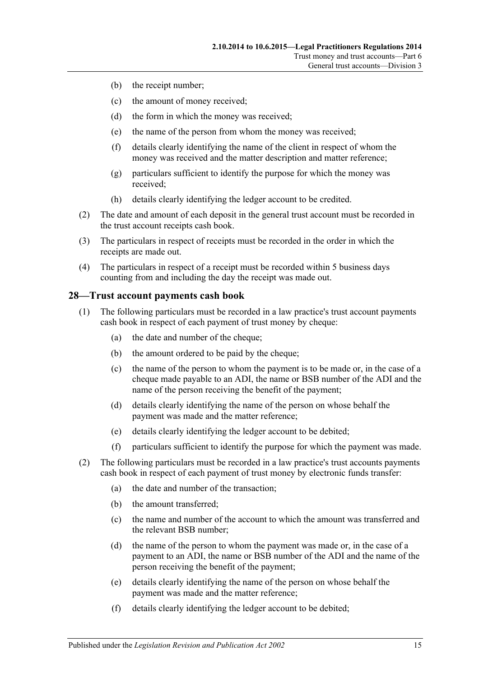- (b) the receipt number;
- (c) the amount of money received;
- (d) the form in which the money was received;
- (e) the name of the person from whom the money was received;
- (f) details clearly identifying the name of the client in respect of whom the money was received and the matter description and matter reference;
- (g) particulars sufficient to identify the purpose for which the money was received;
- (h) details clearly identifying the ledger account to be credited.
- (2) The date and amount of each deposit in the general trust account must be recorded in the trust account receipts cash book.
- (3) The particulars in respect of receipts must be recorded in the order in which the receipts are made out.
- (4) The particulars in respect of a receipt must be recorded within 5 business days counting from and including the day the receipt was made out.

#### <span id="page-14-0"></span>**28—Trust account payments cash book**

- (1) The following particulars must be recorded in a law practice's trust account payments cash book in respect of each payment of trust money by cheque:
	- (a) the date and number of the cheque;
	- (b) the amount ordered to be paid by the cheque;
	- (c) the name of the person to whom the payment is to be made or, in the case of a cheque made payable to an ADI, the name or BSB number of the ADI and the name of the person receiving the benefit of the payment;
	- (d) details clearly identifying the name of the person on whose behalf the payment was made and the matter reference;
	- (e) details clearly identifying the ledger account to be debited;
	- (f) particulars sufficient to identify the purpose for which the payment was made.
- (2) The following particulars must be recorded in a law practice's trust accounts payments cash book in respect of each payment of trust money by electronic funds transfer:
	- (a) the date and number of the transaction;
	- (b) the amount transferred;
	- (c) the name and number of the account to which the amount was transferred and the relevant BSB number;
	- (d) the name of the person to whom the payment was made or, in the case of a payment to an ADI, the name or BSB number of the ADI and the name of the person receiving the benefit of the payment;
	- (e) details clearly identifying the name of the person on whose behalf the payment was made and the matter reference;
	- (f) details clearly identifying the ledger account to be debited;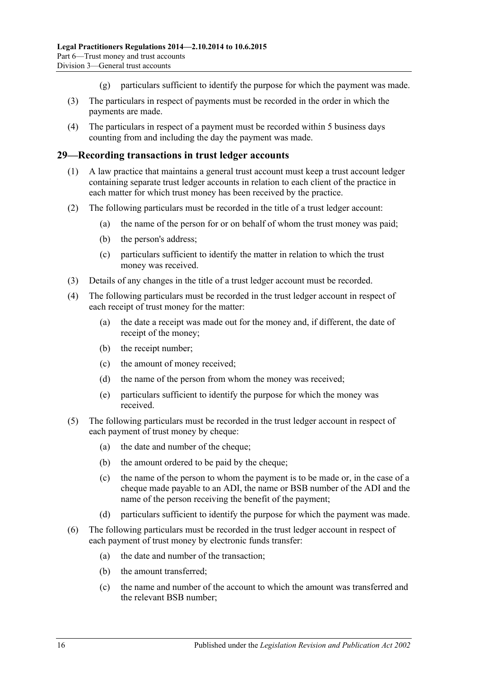- (g) particulars sufficient to identify the purpose for which the payment was made.
- (3) The particulars in respect of payments must be recorded in the order in which the payments are made.
- (4) The particulars in respect of a payment must be recorded within 5 business days counting from and including the day the payment was made.

#### <span id="page-15-0"></span>**29—Recording transactions in trust ledger accounts**

- (1) A law practice that maintains a general trust account must keep a trust account ledger containing separate trust ledger accounts in relation to each client of the practice in each matter for which trust money has been received by the practice.
- (2) The following particulars must be recorded in the title of a trust ledger account:
	- (a) the name of the person for or on behalf of whom the trust money was paid;
	- (b) the person's address;
	- (c) particulars sufficient to identify the matter in relation to which the trust money was received.
- (3) Details of any changes in the title of a trust ledger account must be recorded.
- (4) The following particulars must be recorded in the trust ledger account in respect of each receipt of trust money for the matter:
	- (a) the date a receipt was made out for the money and, if different, the date of receipt of the money;
	- (b) the receipt number;
	- (c) the amount of money received;
	- (d) the name of the person from whom the money was received;
	- (e) particulars sufficient to identify the purpose for which the money was received.
- (5) The following particulars must be recorded in the trust ledger account in respect of each payment of trust money by cheque:
	- (a) the date and number of the cheque;
	- (b) the amount ordered to be paid by the cheque;
	- (c) the name of the person to whom the payment is to be made or, in the case of a cheque made payable to an ADI, the name or BSB number of the ADI and the name of the person receiving the benefit of the payment;
	- (d) particulars sufficient to identify the purpose for which the payment was made.
- (6) The following particulars must be recorded in the trust ledger account in respect of each payment of trust money by electronic funds transfer:
	- (a) the date and number of the transaction;
	- (b) the amount transferred;
	- (c) the name and number of the account to which the amount was transferred and the relevant BSB number;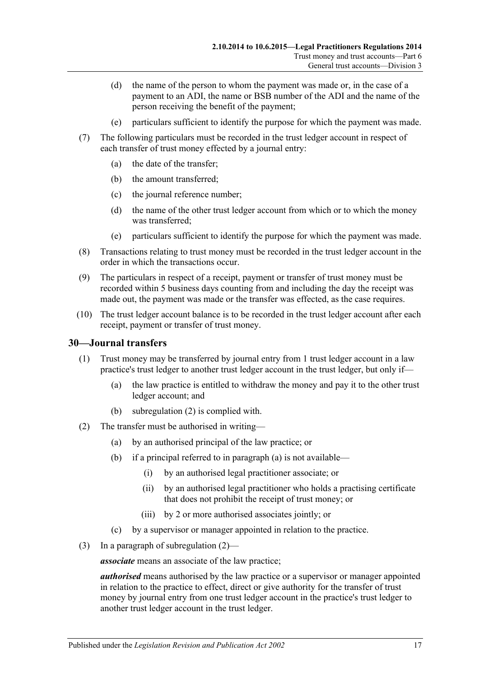- (d) the name of the person to whom the payment was made or, in the case of a payment to an ADI, the name or BSB number of the ADI and the name of the person receiving the benefit of the payment;
- (e) particulars sufficient to identify the purpose for which the payment was made.
- (7) The following particulars must be recorded in the trust ledger account in respect of each transfer of trust money effected by a journal entry:
	- (a) the date of the transfer;
	- (b) the amount transferred;
	- (c) the journal reference number;
	- (d) the name of the other trust ledger account from which or to which the money was transferred;
	- (e) particulars sufficient to identify the purpose for which the payment was made.
- (8) Transactions relating to trust money must be recorded in the trust ledger account in the order in which the transactions occur.
- (9) The particulars in respect of a receipt, payment or transfer of trust money must be recorded within 5 business days counting from and including the day the receipt was made out, the payment was made or the transfer was effected, as the case requires.
- (10) The trust ledger account balance is to be recorded in the trust ledger account after each receipt, payment or transfer of trust money.

## <span id="page-16-0"></span>**30—Journal transfers**

- (1) Trust money may be transferred by journal entry from 1 trust ledger account in a law practice's trust ledger to another trust ledger account in the trust ledger, but only if—
	- (a) the law practice is entitled to withdraw the money and pay it to the other trust ledger account; and
	- (b) [subregulation](#page-16-1) (2) is complied with.
- <span id="page-16-2"></span><span id="page-16-1"></span>(2) The transfer must be authorised in writing—
	- (a) by an authorised principal of the law practice; or
	- (b) if a principal referred to in [paragraph](#page-16-2) (a) is not available—
		- (i) by an authorised legal practitioner associate; or
		- (ii) by an authorised legal practitioner who holds a practising certificate that does not prohibit the receipt of trust money; or
		- (iii) by 2 or more authorised associates jointly; or
	- (c) by a supervisor or manager appointed in relation to the practice.
- (3) In a paragraph of [subregulation](#page-16-1) (2)—

*associate* means an associate of the law practice;

*authorised* means authorised by the law practice or a supervisor or manager appointed in relation to the practice to effect, direct or give authority for the transfer of trust money by journal entry from one trust ledger account in the practice's trust ledger to another trust ledger account in the trust ledger.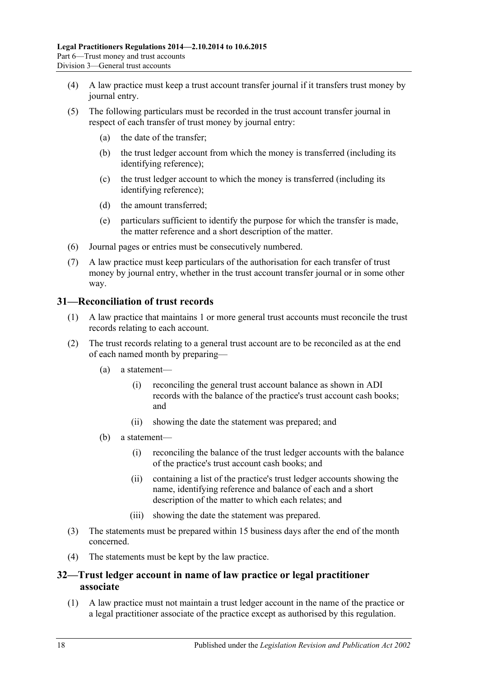- (4) A law practice must keep a trust account transfer journal if it transfers trust money by journal entry.
- (5) The following particulars must be recorded in the trust account transfer journal in respect of each transfer of trust money by journal entry:
	- (a) the date of the transfer;
	- (b) the trust ledger account from which the money is transferred (including its identifying reference);
	- (c) the trust ledger account to which the money is transferred (including its identifying reference);
	- (d) the amount transferred;
	- (e) particulars sufficient to identify the purpose for which the transfer is made, the matter reference and a short description of the matter.
- (6) Journal pages or entries must be consecutively numbered.
- (7) A law practice must keep particulars of the authorisation for each transfer of trust money by journal entry, whether in the trust account transfer journal or in some other way.

## <span id="page-17-0"></span>**31—Reconciliation of trust records**

- (1) A law practice that maintains 1 or more general trust accounts must reconcile the trust records relating to each account.
- (2) The trust records relating to a general trust account are to be reconciled as at the end of each named month by preparing—
	- (a) a statement—
		- (i) reconciling the general trust account balance as shown in ADI records with the balance of the practice's trust account cash books; and
		- (ii) showing the date the statement was prepared; and
	- (b) a statement—
		- (i) reconciling the balance of the trust ledger accounts with the balance of the practice's trust account cash books; and
		- (ii) containing a list of the practice's trust ledger accounts showing the name, identifying reference and balance of each and a short description of the matter to which each relates; and
		- (iii) showing the date the statement was prepared.
- (3) The statements must be prepared within 15 business days after the end of the month concerned.
- (4) The statements must be kept by the law practice.

## <span id="page-17-1"></span>**32—Trust ledger account in name of law practice or legal practitioner associate**

(1) A law practice must not maintain a trust ledger account in the name of the practice or a legal practitioner associate of the practice except as authorised by this regulation.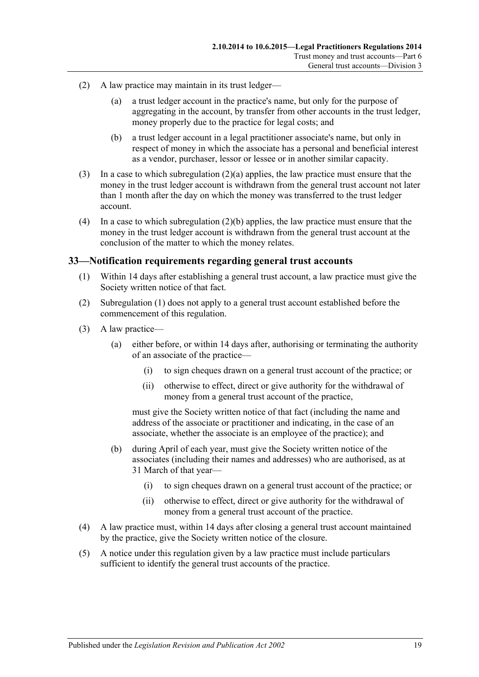- <span id="page-18-1"></span>(2) A law practice may maintain in its trust ledger—
	- (a) a trust ledger account in the practice's name, but only for the purpose of aggregating in the account, by transfer from other accounts in the trust ledger, money properly due to the practice for legal costs; and
	- (b) a trust ledger account in a legal practitioner associate's name, but only in respect of money in which the associate has a personal and beneficial interest as a vendor, purchaser, lessor or lessee or in another similar capacity.
- <span id="page-18-2"></span>(3) In a case to which [subregulation](#page-18-1) (2)(a) applies, the law practice must ensure that the money in the trust ledger account is withdrawn from the general trust account not later than 1 month after the day on which the money was transferred to the trust ledger account.
- (4) In a case to which [subregulation](#page-18-2) (2)(b) applies, the law practice must ensure that the money in the trust ledger account is withdrawn from the general trust account at the conclusion of the matter to which the money relates.

## <span id="page-18-3"></span><span id="page-18-0"></span>**33—Notification requirements regarding general trust accounts**

- (1) Within 14 days after establishing a general trust account, a law practice must give the Society written notice of that fact.
- (2) [Subregulation](#page-18-3) (1) does not apply to a general trust account established before the commencement of this regulation.
- (3) A law practice—
	- (a) either before, or within 14 days after, authorising or terminating the authority of an associate of the practice—
		- (i) to sign cheques drawn on a general trust account of the practice; or
		- (ii) otherwise to effect, direct or give authority for the withdrawal of money from a general trust account of the practice,

must give the Society written notice of that fact (including the name and address of the associate or practitioner and indicating, in the case of an associate, whether the associate is an employee of the practice); and

- (b) during April of each year, must give the Society written notice of the associates (including their names and addresses) who are authorised, as at 31 March of that year—
	- (i) to sign cheques drawn on a general trust account of the practice; or
	- (ii) otherwise to effect, direct or give authority for the withdrawal of money from a general trust account of the practice.
- (4) A law practice must, within 14 days after closing a general trust account maintained by the practice, give the Society written notice of the closure.
- (5) A notice under this regulation given by a law practice must include particulars sufficient to identify the general trust accounts of the practice.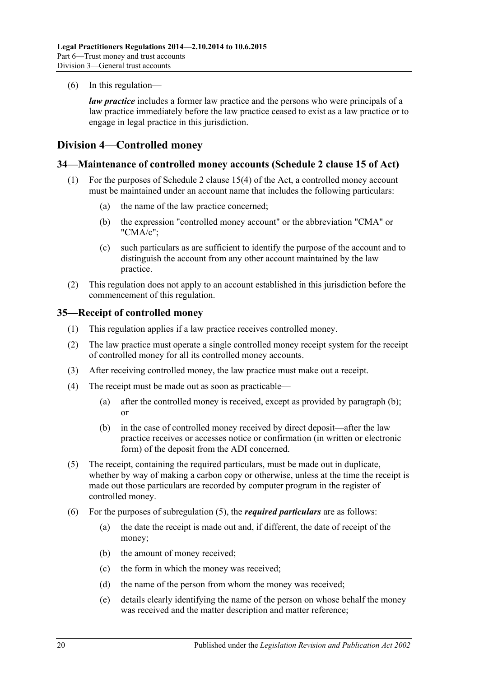(6) In this regulation—

*law practice* includes a former law practice and the persons who were principals of a law practice immediately before the law practice ceased to exist as a law practice or to engage in legal practice in this jurisdiction.

## <span id="page-19-0"></span>**Division 4—Controlled money**

#### <span id="page-19-1"></span>**34—Maintenance of controlled money accounts (Schedule 2 clause 15 of Act)**

- (1) For the purposes of Schedule 2 clause 15(4) of the Act, a controlled money account must be maintained under an account name that includes the following particulars:
	- (a) the name of the law practice concerned;
	- (b) the expression "controlled money account" or the abbreviation "CMA" or "CMA/c";
	- (c) such particulars as are sufficient to identify the purpose of the account and to distinguish the account from any other account maintained by the law practice.
- (2) This regulation does not apply to an account established in this jurisdiction before the commencement of this regulation.

#### <span id="page-19-2"></span>**35—Receipt of controlled money**

- (1) This regulation applies if a law practice receives controlled money.
- (2) The law practice must operate a single controlled money receipt system for the receipt of controlled money for all its controlled money accounts.
- (3) After receiving controlled money, the law practice must make out a receipt.
- <span id="page-19-3"></span>(4) The receipt must be made out as soon as practicable—
	- (a) after the controlled money is received, except as provided by [paragraph](#page-19-3) (b); or
	- (b) in the case of controlled money received by direct deposit—after the law practice receives or accesses notice or confirmation (in written or electronic form) of the deposit from the ADI concerned.
- <span id="page-19-4"></span>(5) The receipt, containing the required particulars, must be made out in duplicate, whether by way of making a carbon copy or otherwise, unless at the time the receipt is made out those particulars are recorded by computer program in the register of controlled money.
- (6) For the purposes of [subregulation](#page-19-4) (5), the *required particulars* are as follows:
	- (a) the date the receipt is made out and, if different, the date of receipt of the money;
	- (b) the amount of money received;
	- (c) the form in which the money was received;
	- (d) the name of the person from whom the money was received;
	- (e) details clearly identifying the name of the person on whose behalf the money was received and the matter description and matter reference;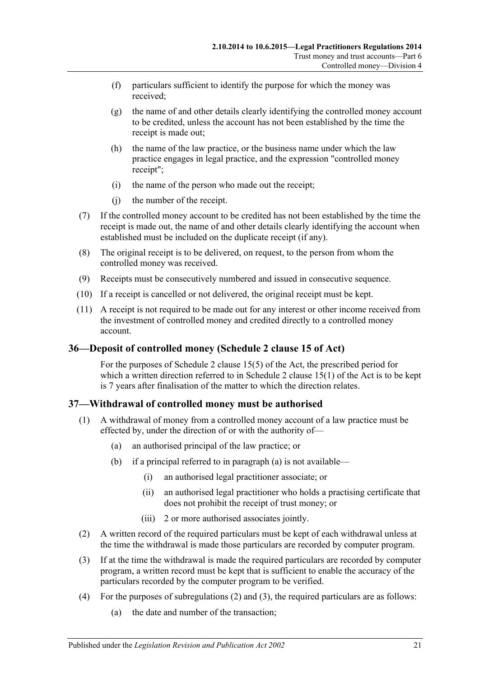- (f) particulars sufficient to identify the purpose for which the money was received;
- (g) the name of and other details clearly identifying the controlled money account to be credited, unless the account has not been established by the time the receipt is made out;
- (h) the name of the law practice, or the business name under which the law practice engages in legal practice, and the expression "controlled money receipt";
- (i) the name of the person who made out the receipt;
- (j) the number of the receipt.
- (7) If the controlled money account to be credited has not been established by the time the receipt is made out, the name of and other details clearly identifying the account when established must be included on the duplicate receipt (if any).
- (8) The original receipt is to be delivered, on request, to the person from whom the controlled money was received.
- (9) Receipts must be consecutively numbered and issued in consecutive sequence.
- (10) If a receipt is cancelled or not delivered, the original receipt must be kept.
- (11) A receipt is not required to be made out for any interest or other income received from the investment of controlled money and credited directly to a controlled money account.

## <span id="page-20-0"></span>**36—Deposit of controlled money (Schedule 2 clause 15 of Act)**

For the purposes of Schedule 2 clause 15(5) of the Act, the prescribed period for which a written direction referred to in Schedule 2 clause 15(1) of the Act is to be kept is 7 years after finalisation of the matter to which the direction relates.

## <span id="page-20-1"></span>**37—Withdrawal of controlled money must be authorised**

- <span id="page-20-2"></span>(1) A withdrawal of money from a controlled money account of a law practice must be effected by, under the direction of or with the authority of—
	- (a) an authorised principal of the law practice; or
	- (b) if a principal referred to in [paragraph](#page-20-2) (a) is not available—
		- (i) an authorised legal practitioner associate; or
		- (ii) an authorised legal practitioner who holds a practising certificate that does not prohibit the receipt of trust money; or
		- (iii) 2 or more authorised associates jointly.
- <span id="page-20-3"></span>(2) A written record of the required particulars must be kept of each withdrawal unless at the time the withdrawal is made those particulars are recorded by computer program.
- <span id="page-20-4"></span>(3) If at the time the withdrawal is made the required particulars are recorded by computer program, a written record must be kept that is sufficient to enable the accuracy of the particulars recorded by the computer program to be verified.
- <span id="page-20-5"></span>(4) For the purposes of [subregulations](#page-20-3) (2) and [\(3\),](#page-20-4) the required particulars are as follows:
	- (a) the date and number of the transaction;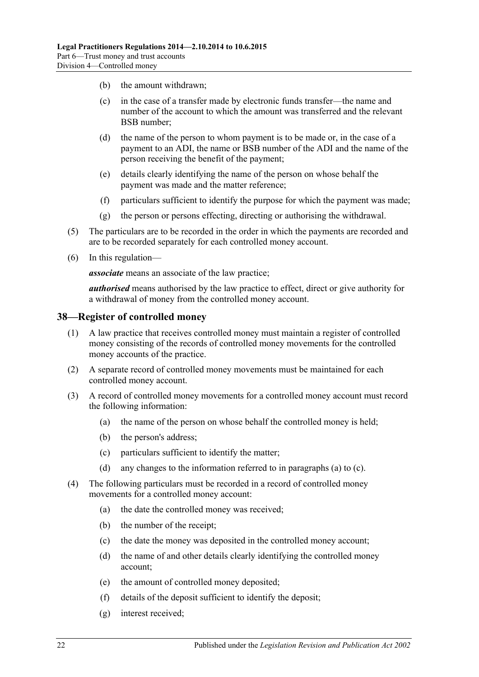- (b) the amount withdrawn;
- (c) in the case of a transfer made by electronic funds transfer—the name and number of the account to which the amount was transferred and the relevant BSB number;
- (d) the name of the person to whom payment is to be made or, in the case of a payment to an ADI, the name or BSB number of the ADI and the name of the person receiving the benefit of the payment;
- (e) details clearly identifying the name of the person on whose behalf the payment was made and the matter reference;
- (f) particulars sufficient to identify the purpose for which the payment was made;
- (g) the person or persons effecting, directing or authorising the withdrawal.
- (5) The particulars are to be recorded in the order in which the payments are recorded and are to be recorded separately for each controlled money account.
- (6) In this regulation—

*associate* means an associate of the law practice;

*authorised* means authorised by the law practice to effect, direct or give authority for a withdrawal of money from the controlled money account.

#### <span id="page-21-0"></span>**38—Register of controlled money**

- (1) A law practice that receives controlled money must maintain a register of controlled money consisting of the records of controlled money movements for the controlled money accounts of the practice.
- (2) A separate record of controlled money movements must be maintained for each controlled money account.
- <span id="page-21-1"></span>(3) A record of controlled money movements for a controlled money account must record the following information:
	- (a) the name of the person on whose behalf the controlled money is held;
	- (b) the person's address;
	- (c) particulars sufficient to identify the matter;
	- (d) any changes to the information referred to in [paragraphs](#page-21-1) (a) to [\(c\).](#page-21-2)
- <span id="page-21-2"></span>(4) The following particulars must be recorded in a record of controlled money movements for a controlled money account:
	- (a) the date the controlled money was received;
	- (b) the number of the receipt;
	- (c) the date the money was deposited in the controlled money account;
	- (d) the name of and other details clearly identifying the controlled money account;
	- (e) the amount of controlled money deposited;
	- (f) details of the deposit sufficient to identify the deposit;
	- (g) interest received;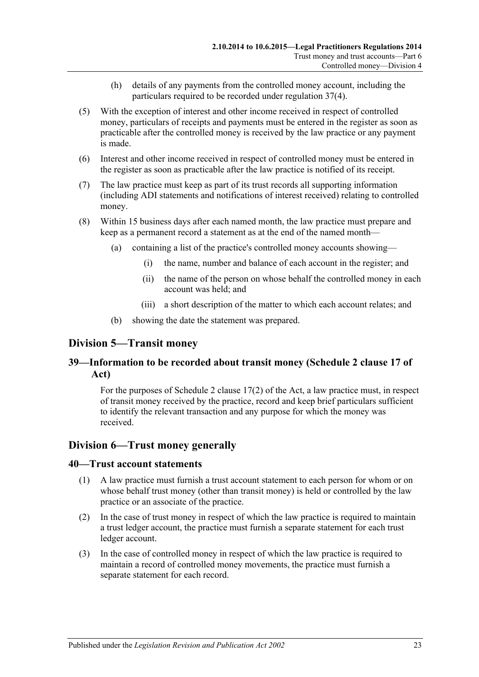- (h) details of any payments from the controlled money account, including the particulars required to be recorded under [regulation](#page-20-5) 37(4).
- (5) With the exception of interest and other income received in respect of controlled money, particulars of receipts and payments must be entered in the register as soon as practicable after the controlled money is received by the law practice or any payment is made.
- (6) Interest and other income received in respect of controlled money must be entered in the register as soon as practicable after the law practice is notified of its receipt.
- (7) The law practice must keep as part of its trust records all supporting information (including ADI statements and notifications of interest received) relating to controlled money.
- (8) Within 15 business days after each named month, the law practice must prepare and keep as a permanent record a statement as at the end of the named month—
	- (a) containing a list of the practice's controlled money accounts showing—
		- (i) the name, number and balance of each account in the register; and
		- (ii) the name of the person on whose behalf the controlled money in each account was held; and
		- (iii) a short description of the matter to which each account relates; and
	- (b) showing the date the statement was prepared.

## <span id="page-22-0"></span>**Division 5—Transit money**

## <span id="page-22-1"></span>**39—Information to be recorded about transit money (Schedule 2 clause 17 of Act)**

For the purposes of Schedule 2 clause 17(2) of the Act, a law practice must, in respect of transit money received by the practice, record and keep brief particulars sufficient to identify the relevant transaction and any purpose for which the money was received.

## <span id="page-22-2"></span>**Division 6—Trust money generally**

#### <span id="page-22-3"></span>**40—Trust account statements**

- (1) A law practice must furnish a trust account statement to each person for whom or on whose behalf trust money (other than transit money) is held or controlled by the law practice or an associate of the practice.
- (2) In the case of trust money in respect of which the law practice is required to maintain a trust ledger account, the practice must furnish a separate statement for each trust ledger account.
- (3) In the case of controlled money in respect of which the law practice is required to maintain a record of controlled money movements, the practice must furnish a separate statement for each record.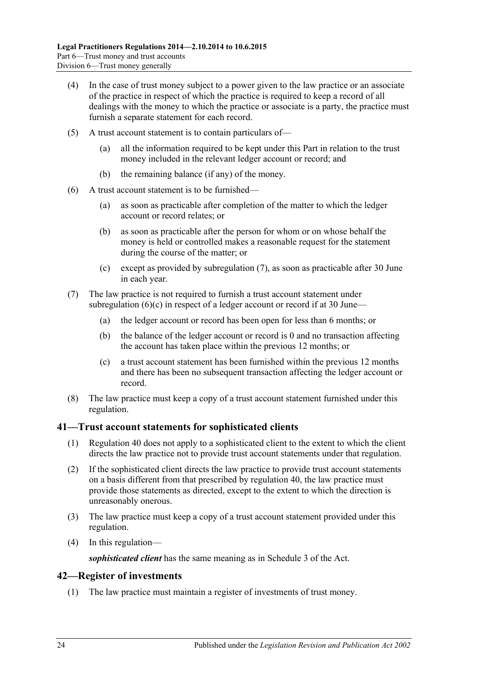- (4) In the case of trust money subject to a power given to the law practice or an associate of the practice in respect of which the practice is required to keep a record of all dealings with the money to which the practice or associate is a party, the practice must furnish a separate statement for each record.
- (5) A trust account statement is to contain particulars of—
	- (a) all the information required to be kept under this Part in relation to the trust money included in the relevant ledger account or record; and
	- (b) the remaining balance (if any) of the money.
- (6) A trust account statement is to be furnished—
	- (a) as soon as practicable after completion of the matter to which the ledger account or record relates; or
	- (b) as soon as practicable after the person for whom or on whose behalf the money is held or controlled makes a reasonable request for the statement during the course of the matter; or
	- (c) except as provided by [subregulation](#page-23-2) (7), as soon as practicable after 30 June in each year.
- <span id="page-23-3"></span><span id="page-23-2"></span>(7) The law practice is not required to furnish a trust account statement under [subregulation](#page-23-3)  $(6)(c)$  in respect of a ledger account or record if at 30 June—
	- (a) the ledger account or record has been open for less than 6 months; or
	- (b) the balance of the ledger account or record is 0 and no transaction affecting the account has taken place within the previous 12 months; or
	- (c) a trust account statement has been furnished within the previous 12 months and there has been no subsequent transaction affecting the ledger account or record.
- (8) The law practice must keep a copy of a trust account statement furnished under this regulation.

## <span id="page-23-0"></span>**41—Trust account statements for sophisticated clients**

- (1) [Regulation](#page-22-3) 40 does not apply to a sophisticated client to the extent to which the client directs the law practice not to provide trust account statements under that regulation.
- (2) If the sophisticated client directs the law practice to provide trust account statements on a basis different from that prescribed by [regulation](#page-22-3) 40, the law practice must provide those statements as directed, except to the extent to which the direction is unreasonably onerous.
- (3) The law practice must keep a copy of a trust account statement provided under this regulation.
- (4) In this regulation—

*sophisticated client* has the same meaning as in Schedule 3 of the Act.

## <span id="page-23-1"></span>**42—Register of investments**

(1) The law practice must maintain a register of investments of trust money.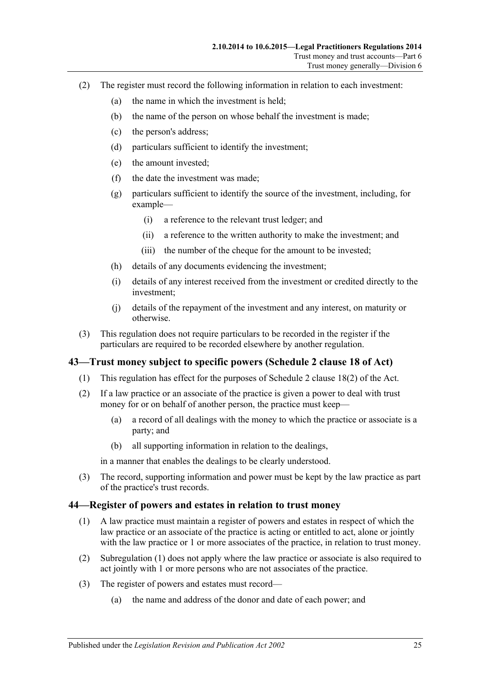- (2) The register must record the following information in relation to each investment:
	- (a) the name in which the investment is held;
	- (b) the name of the person on whose behalf the investment is made;
	- (c) the person's address;
	- (d) particulars sufficient to identify the investment;
	- (e) the amount invested;
	- (f) the date the investment was made;
	- (g) particulars sufficient to identify the source of the investment, including, for example—
		- (i) a reference to the relevant trust ledger; and
		- (ii) a reference to the written authority to make the investment; and
		- (iii) the number of the cheque for the amount to be invested;
	- (h) details of any documents evidencing the investment;
	- (i) details of any interest received from the investment or credited directly to the investment;
	- (j) details of the repayment of the investment and any interest, on maturity or otherwise.
- (3) This regulation does not require particulars to be recorded in the register if the particulars are required to be recorded elsewhere by another regulation.

## <span id="page-24-0"></span>**43—Trust money subject to specific powers (Schedule 2 clause 18 of Act)**

- (1) This regulation has effect for the purposes of Schedule 2 clause 18(2) of the Act.
- (2) If a law practice or an associate of the practice is given a power to deal with trust money for or on behalf of another person, the practice must keep—
	- (a) a record of all dealings with the money to which the practice or associate is a party; and
	- (b) all supporting information in relation to the dealings,

in a manner that enables the dealings to be clearly understood.

(3) The record, supporting information and power must be kept by the law practice as part of the practice's trust records.

#### <span id="page-24-2"></span><span id="page-24-1"></span>**44—Register of powers and estates in relation to trust money**

- (1) A law practice must maintain a register of powers and estates in respect of which the law practice or an associate of the practice is acting or entitled to act, alone or jointly with the law practice or 1 or more associates of the practice, in relation to trust money.
- (2) [Subregulation](#page-24-2) (1) does not apply where the law practice or associate is also required to act jointly with 1 or more persons who are not associates of the practice.
- (3) The register of powers and estates must record—
	- (a) the name and address of the donor and date of each power; and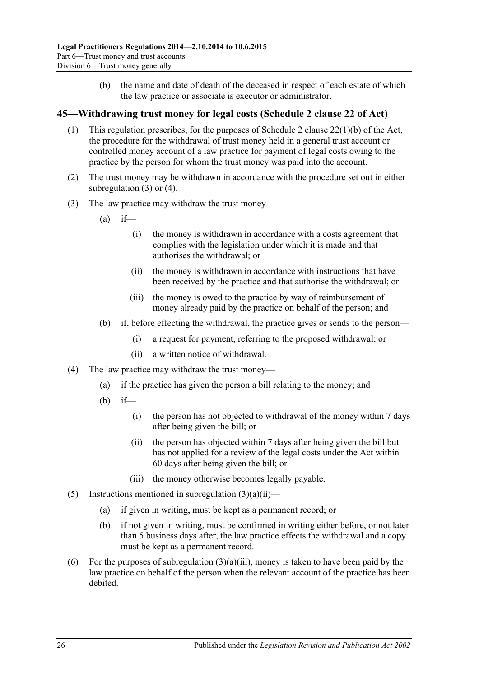(b) the name and date of death of the deceased in respect of each estate of which the law practice or associate is executor or administrator.

## <span id="page-25-0"></span>**45—Withdrawing trust money for legal costs (Schedule 2 clause 22 of Act)**

- (1) This regulation prescribes, for the purposes of Schedule 2 clause 22(1)(b) of the Act, the procedure for the withdrawal of trust money held in a general trust account or controlled money account of a law practice for payment of legal costs owing to the practice by the person for whom the trust money was paid into the account.
- (2) The trust money may be withdrawn in accordance with the procedure set out in either [subregulation](#page-25-1) (3) or [\(4\).](#page-25-2)
- <span id="page-25-3"></span><span id="page-25-1"></span>(3) The law practice may withdraw the trust money—
	- $(a)$  if—
		- (i) the money is withdrawn in accordance with a costs agreement that complies with the legislation under which it is made and that authorises the withdrawal; or
		- (ii) the money is withdrawn in accordance with instructions that have been received by the practice and that authorise the withdrawal; or
		- (iii) the money is owed to the practice by way of reimbursement of money already paid by the practice on behalf of the person; and
	- (b) if, before effecting the withdrawal, the practice gives or sends to the person—
		- (i) a request for payment, referring to the proposed withdrawal; or
		- (ii) a written notice of withdrawal.
- <span id="page-25-4"></span><span id="page-25-2"></span>(4) The law practice may withdraw the trust money—
	- (a) if the practice has given the person a bill relating to the money; and
	- (b) if—
		- (i) the person has not objected to withdrawal of the money within 7 days after being given the bill; or
		- (ii) the person has objected within 7 days after being given the bill but has not applied for a review of the legal costs under the Act within 60 days after being given the bill; or
		- (iii) the money otherwise becomes legally payable.
- (5) Instructions mentioned in [subregulation](#page-25-3)  $(3)(a)(ii)$ 
	- (a) if given in writing, must be kept as a permanent record; or
	- (b) if not given in writing, must be confirmed in writing either before, or not later than 5 business days after, the law practice effects the withdrawal and a copy must be kept as a permanent record.
- (6) For the purposes of [subregulation](#page-25-4)  $(3)(a)(iii)$ , money is taken to have been paid by the law practice on behalf of the person when the relevant account of the practice has been debited.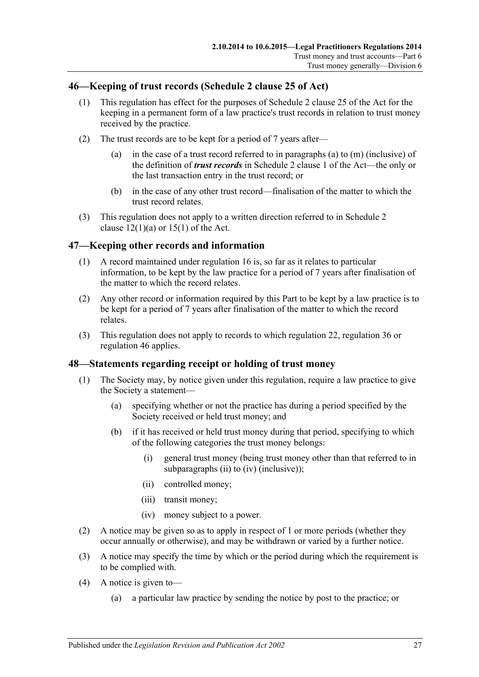## <span id="page-26-0"></span>**46—Keeping of trust records (Schedule 2 clause 25 of Act)**

- (1) This regulation has effect for the purposes of Schedule 2 clause 25 of the Act for the keeping in a permanent form of a law practice's trust records in relation to trust money received by the practice.
- (2) The trust records are to be kept for a period of 7 years after—
	- (a) in the case of a trust record referred to in paragraphs (a) to (m) (inclusive) of the definition of *trust records* in Schedule 2 clause 1 of the Act—the only or the last transaction entry in the trust record; or
	- (b) in the case of any other trust record—finalisation of the matter to which the trust record relates.
- (3) This regulation does not apply to a written direction referred to in Schedule 2 clause  $12(1)(a)$  or  $15(1)$  of the Act.

## <span id="page-26-1"></span>**47—Keeping other records and information**

- (1) A record maintained under [regulation](#page-7-3) 16 is, so far as it relates to particular information, to be kept by the law practice for a period of 7 years after finalisation of the matter to which the record relates.
- (2) Any other record or information required by this Part to be kept by a law practice is to be kept for a period of 7 years after finalisation of the matter to which the record relates.
- (3) This regulation does not apply to records to which [regulation](#page-10-1) 22, [regulation](#page-20-0) 36 or [regulation](#page-26-0) 46 applies.

#### <span id="page-26-2"></span>**48—Statements regarding receipt or holding of trust money**

- (1) The Society may, by notice given under this regulation, require a law practice to give the Society a statement—
	- (a) specifying whether or not the practice has during a period specified by the Society received or held trust money; and
	- (b) if it has received or held trust money during that period, specifying to which of the following categories the trust money belongs:
		- (i) general trust money (being trust money other than that referred to in [subparagraphs](#page-26-3) (ii) to [\(iv\)](#page-26-4) (inclusive));
		- (ii) controlled money;
		- (iii) transit money;
		- (iv) money subject to a power.
- <span id="page-26-4"></span><span id="page-26-3"></span>(2) A notice may be given so as to apply in respect of 1 or more periods (whether they occur annually or otherwise), and may be withdrawn or varied by a further notice.
- (3) A notice may specify the time by which or the period during which the requirement is to be complied with.
- (4) A notice is given to—
	- (a) a particular law practice by sending the notice by post to the practice; or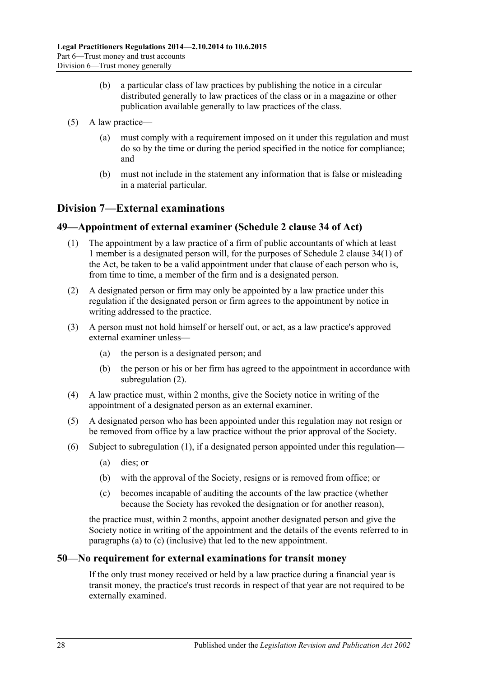- (b) a particular class of law practices by publishing the notice in a circular distributed generally to law practices of the class or in a magazine or other publication available generally to law practices of the class.
- (5) A law practice—
	- (a) must comply with a requirement imposed on it under this regulation and must do so by the time or during the period specified in the notice for compliance; and
	- (b) must not include in the statement any information that is false or misleading in a material particular.

## <span id="page-27-0"></span>**Division 7—External examinations**

## <span id="page-27-4"></span><span id="page-27-1"></span>**49—Appointment of external examiner (Schedule 2 clause 34 of Act)**

- (1) The appointment by a law practice of a firm of public accountants of which at least 1 member is a designated person will, for the purposes of Schedule 2 clause 34(1) of the Act, be taken to be a valid appointment under that clause of each person who is, from time to time, a member of the firm and is a designated person.
- <span id="page-27-3"></span>(2) A designated person or firm may only be appointed by a law practice under this regulation if the designated person or firm agrees to the appointment by notice in writing addressed to the practice.
- (3) A person must not hold himself or herself out, or act, as a law practice's approved external examiner unless—
	- (a) the person is a designated person; and
	- (b) the person or his or her firm has agreed to the appointment in accordance with [subregulation](#page-27-3) (2).
- (4) A law practice must, within 2 months, give the Society notice in writing of the appointment of a designated person as an external examiner.
- (5) A designated person who has been appointed under this regulation may not resign or be removed from office by a law practice without the prior approval of the Society.
- <span id="page-27-6"></span><span id="page-27-5"></span>(6) Subject to [subregulation](#page-27-4) (1), if a designated person appointed under this regulation—
	- (a) dies; or
	- (b) with the approval of the Society, resigns or is removed from office; or
	- (c) becomes incapable of auditing the accounts of the law practice (whether because the Society has revoked the designation or for another reason),

the practice must, within 2 months, appoint another designated person and give the Society notice in writing of the appointment and the details of the events referred to in [paragraphs](#page-27-5) (a) to [\(c\)](#page-27-6) (inclusive) that led to the new appointment.

## <span id="page-27-2"></span>**50—No requirement for external examinations for transit money**

If the only trust money received or held by a law practice during a financial year is transit money, the practice's trust records in respect of that year are not required to be externally examined.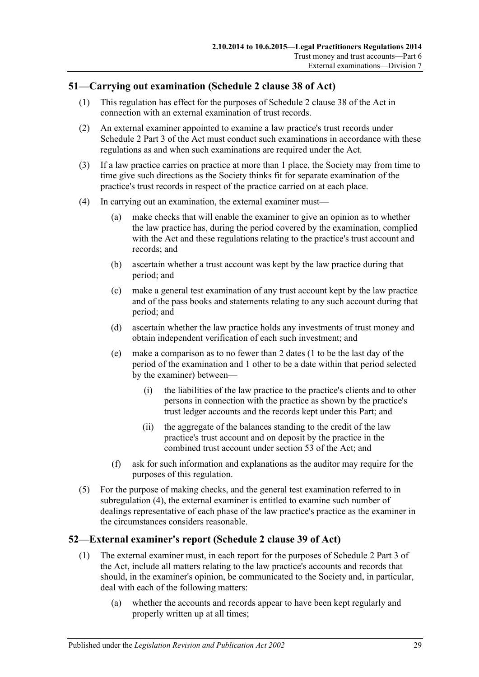## <span id="page-28-0"></span>**51—Carrying out examination (Schedule 2 clause 38 of Act)**

- (1) This regulation has effect for the purposes of Schedule 2 clause 38 of the Act in connection with an external examination of trust records.
- (2) An external examiner appointed to examine a law practice's trust records under Schedule 2 Part 3 of the Act must conduct such examinations in accordance with these regulations as and when such examinations are required under the Act.
- (3) If a law practice carries on practice at more than 1 place, the Society may from time to time give such directions as the Society thinks fit for separate examination of the practice's trust records in respect of the practice carried on at each place.
- <span id="page-28-3"></span><span id="page-28-2"></span>(4) In carrying out an examination, the external examiner must—
	- (a) make checks that will enable the examiner to give an opinion as to whether the law practice has, during the period covered by the examination, complied with the Act and these regulations relating to the practice's trust account and records; and
	- (b) ascertain whether a trust account was kept by the law practice during that period; and
	- (c) make a general test examination of any trust account kept by the law practice and of the pass books and statements relating to any such account during that period; and
	- (d) ascertain whether the law practice holds any investments of trust money and obtain independent verification of each such investment; and
	- (e) make a comparison as to no fewer than 2 dates (1 to be the last day of the period of the examination and 1 other to be a date within that period selected by the examiner) between—
		- (i) the liabilities of the law practice to the practice's clients and to other persons in connection with the practice as shown by the practice's trust ledger accounts and the records kept under this Part; and
		- (ii) the aggregate of the balances standing to the credit of the law practice's trust account and on deposit by the practice in the combined trust account under section 53 of the Act; and
	- (f) ask for such information and explanations as the auditor may require for the purposes of this regulation.
- (5) For the purpose of making checks, and the general test examination referred to in [subregulation](#page-28-2) (4), the external examiner is entitled to examine such number of dealings representative of each phase of the law practice's practice as the examiner in the circumstances considers reasonable.

## <span id="page-28-1"></span>**52—External examiner's report (Schedule 2 clause 39 of Act)**

- (1) The external examiner must, in each report for the purposes of Schedule 2 Part 3 of the Act, include all matters relating to the law practice's accounts and records that should, in the examiner's opinion, be communicated to the Society and, in particular, deal with each of the following matters:
	- (a) whether the accounts and records appear to have been kept regularly and properly written up at all times;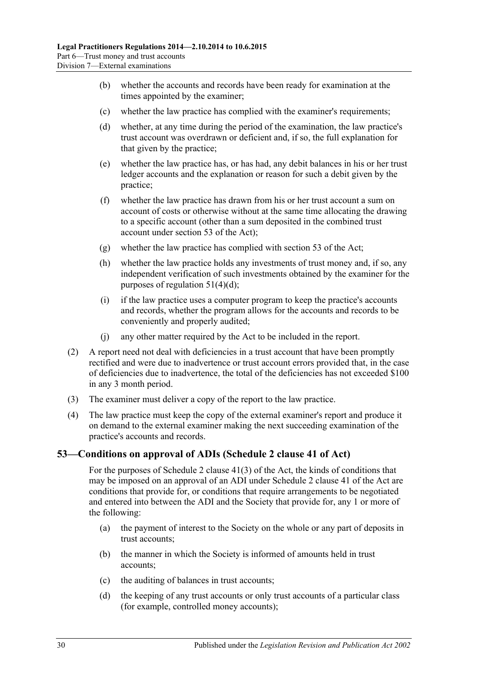- (b) whether the accounts and records have been ready for examination at the times appointed by the examiner;
- (c) whether the law practice has complied with the examiner's requirements;
- (d) whether, at any time during the period of the examination, the law practice's trust account was overdrawn or deficient and, if so, the full explanation for that given by the practice;
- (e) whether the law practice has, or has had, any debit balances in his or her trust ledger accounts and the explanation or reason for such a debit given by the practice;
- (f) whether the law practice has drawn from his or her trust account a sum on account of costs or otherwise without at the same time allocating the drawing to a specific account (other than a sum deposited in the combined trust account under section 53 of the Act);
- (g) whether the law practice has complied with section 53 of the Act;
- (h) whether the law practice holds any investments of trust money and, if so, any independent verification of such investments obtained by the examiner for the purposes of [regulation](#page-28-3) 51(4)(d);
- (i) if the law practice uses a computer program to keep the practice's accounts and records, whether the program allows for the accounts and records to be conveniently and properly audited;
- (j) any other matter required by the Act to be included in the report.
- (2) A report need not deal with deficiencies in a trust account that have been promptly rectified and were due to inadvertence or trust account errors provided that, in the case of deficiencies due to inadvertence, the total of the deficiencies has not exceeded \$100 in any 3 month period.
- (3) The examiner must deliver a copy of the report to the law practice.
- (4) The law practice must keep the copy of the external examiner's report and produce it on demand to the external examiner making the next succeeding examination of the practice's accounts and records.

## <span id="page-29-0"></span>**53—Conditions on approval of ADIs (Schedule 2 clause 41 of Act)**

For the purposes of Schedule 2 clause 41(3) of the Act, the kinds of conditions that may be imposed on an approval of an ADI under Schedule 2 clause 41 of the Act are conditions that provide for, or conditions that require arrangements to be negotiated and entered into between the ADI and the Society that provide for, any 1 or more of the following:

- <span id="page-29-1"></span>(a) the payment of interest to the Society on the whole or any part of deposits in trust accounts;
- (b) the manner in which the Society is informed of amounts held in trust accounts;
- (c) the auditing of balances in trust accounts;
- <span id="page-29-2"></span>(d) the keeping of any trust accounts or only trust accounts of a particular class (for example, controlled money accounts);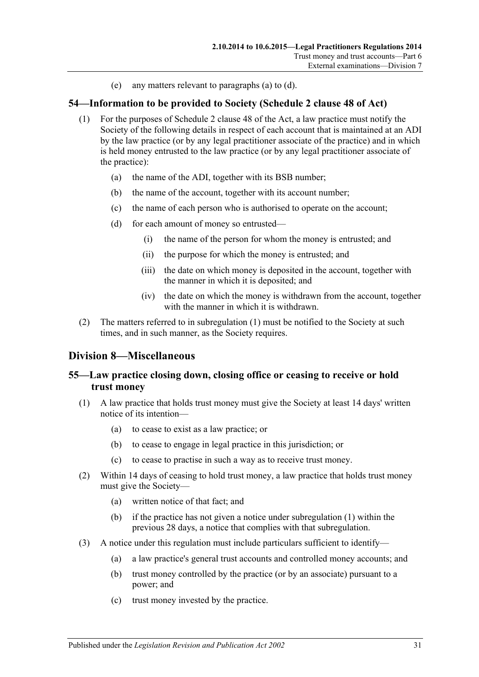(e) any matters relevant to [paragraphs](#page-29-1) (a) to [\(d\).](#page-29-2)

## <span id="page-30-4"></span><span id="page-30-0"></span>**54—Information to be provided to Society (Schedule 2 clause 48 of Act)**

- (1) For the purposes of Schedule 2 clause 48 of the Act, a law practice must notify the Society of the following details in respect of each account that is maintained at an ADI by the law practice (or by any legal practitioner associate of the practice) and in which is held money entrusted to the law practice (or by any legal practitioner associate of the practice):
	- (a) the name of the ADI, together with its BSB number;
	- (b) the name of the account, together with its account number;
	- (c) the name of each person who is authorised to operate on the account;
	- (d) for each amount of money so entrusted—
		- (i) the name of the person for whom the money is entrusted; and
		- (ii) the purpose for which the money is entrusted; and
		- (iii) the date on which money is deposited in the account, together with the manner in which it is deposited; and
		- (iv) the date on which the money is withdrawn from the account, together with the manner in which it is withdrawn.
- (2) The matters referred to in [subregulation](#page-30-4) (1) must be notified to the Society at such times, and in such manner, as the Society requires.

## <span id="page-30-1"></span>**Division 8—Miscellaneous**

## <span id="page-30-2"></span>**55—Law practice closing down, closing office or ceasing to receive or hold trust money**

- <span id="page-30-3"></span>(1) A law practice that holds trust money must give the Society at least 14 days' written notice of its intention—
	- (a) to cease to exist as a law practice; or
	- (b) to cease to engage in legal practice in this jurisdiction; or
	- (c) to cease to practise in such a way as to receive trust money.
- (2) Within 14 days of ceasing to hold trust money, a law practice that holds trust money must give the Society—
	- (a) written notice of that fact; and
	- (b) if the practice has not given a notice under [subregulation](#page-30-3) (1) within the previous 28 days, a notice that complies with that subregulation.
- (3) A notice under this regulation must include particulars sufficient to identify—
	- (a) a law practice's general trust accounts and controlled money accounts; and
	- (b) trust money controlled by the practice (or by an associate) pursuant to a power; and
	- (c) trust money invested by the practice.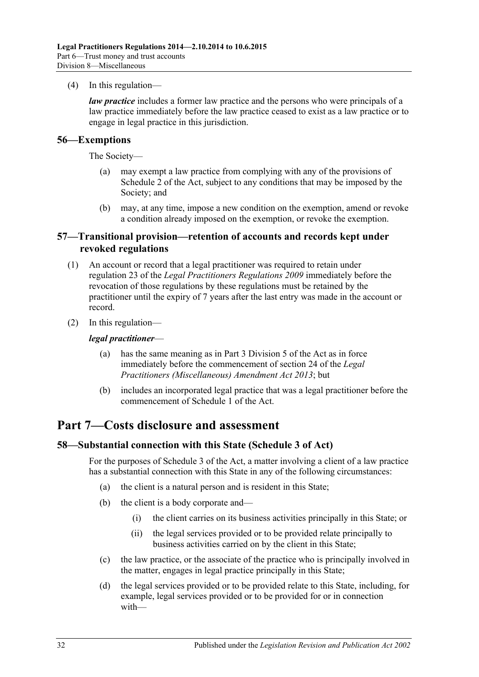(4) In this regulation—

*law practice* includes a former law practice and the persons who were principals of a law practice immediately before the law practice ceased to exist as a law practice or to engage in legal practice in this jurisdiction.

#### <span id="page-31-0"></span>**56—Exemptions**

The Society—

- (a) may exempt a law practice from complying with any of the provisions of Schedule 2 of the Act, subject to any conditions that may be imposed by the Society; and
- (b) may, at any time, impose a new condition on the exemption, amend or revoke a condition already imposed on the exemption, or revoke the exemption.

#### <span id="page-31-1"></span>**57—Transitional provision—retention of accounts and records kept under revoked regulations**

- (1) An account or record that a legal practitioner was required to retain under regulation 23 of the *[Legal Practitioners Regulations](http://www.legislation.sa.gov.au/index.aspx?action=legref&type=subordleg&legtitle=Legal%20Practitioners%20Regulations%202009) 2009* immediately before the revocation of those regulations by these regulations must be retained by the practitioner until the expiry of 7 years after the last entry was made in the account or record.
- (2) In this regulation—

#### *legal practitioner*—

- (a) has the same meaning as in Part 3 Division 5 of the Act as in force immediately before the commencement of section 24 of the *[Legal](http://www.legislation.sa.gov.au/index.aspx?action=legref&type=act&legtitle=Legal%20Practitioners%20(Miscellaneous)%20Amendment%20Act%202013)  [Practitioners \(Miscellaneous\) Amendment Act](http://www.legislation.sa.gov.au/index.aspx?action=legref&type=act&legtitle=Legal%20Practitioners%20(Miscellaneous)%20Amendment%20Act%202013) 2013*; but
- (b) includes an incorporated legal practice that was a legal practitioner before the commencement of Schedule 1 of the Act.

## <span id="page-31-2"></span>**Part 7—Costs disclosure and assessment**

#### <span id="page-31-3"></span>**58—Substantial connection with this State (Schedule 3 of Act)**

For the purposes of Schedule 3 of the Act, a matter involving a client of a law practice has a substantial connection with this State in any of the following circumstances:

- (a) the client is a natural person and is resident in this State;
- (b) the client is a body corporate and—
	- (i) the client carries on its business activities principally in this State; or
	- (ii) the legal services provided or to be provided relate principally to business activities carried on by the client in this State;
- (c) the law practice, or the associate of the practice who is principally involved in the matter, engages in legal practice principally in this State;
- (d) the legal services provided or to be provided relate to this State, including, for example, legal services provided or to be provided for or in connection with—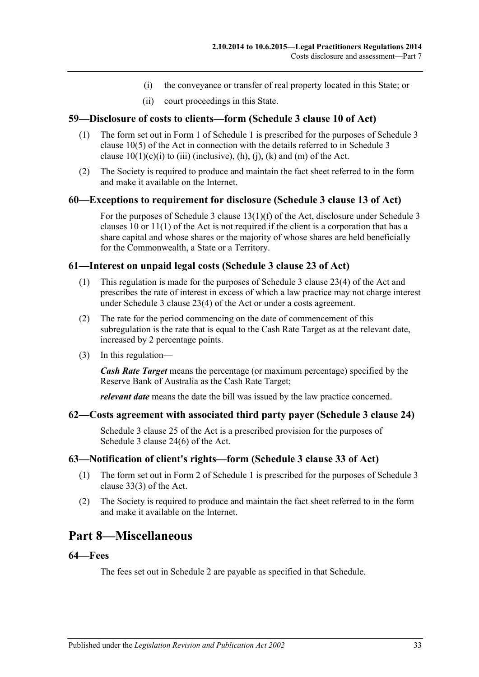- (i) the conveyance or transfer of real property located in this State; or
- (ii) court proceedings in this State.

#### <span id="page-32-0"></span>**59—Disclosure of costs to clients—form (Schedule 3 clause 10 of Act)**

- (1) The form set out in Form 1 of [Schedule](#page-35-0) 1 is prescribed for the purposes of Schedule 3 clause 10(5) of the Act in connection with the details referred to in Schedule 3 clause  $10(1)(c)(i)$  to (iii) (inclusive), (h), (j), (k) and (m) of the Act.
- (2) The Society is required to produce and maintain the fact sheet referred to in the form and make it available on the Internet.

#### <span id="page-32-1"></span>**60—Exceptions to requirement for disclosure (Schedule 3 clause 13 of Act)**

For the purposes of Schedule 3 clause 13(1)(f) of the Act, disclosure under Schedule 3 clauses 10 or 11(1) of the Act is not required if the client is a corporation that has a share capital and whose shares or the majority of whose shares are held beneficially for the Commonwealth, a State or a Territory.

#### <span id="page-32-2"></span>**61—Interest on unpaid legal costs (Schedule 3 clause 23 of Act)**

- (1) This regulation is made for the purposes of Schedule 3 clause 23(4) of the Act and prescribes the rate of interest in excess of which a law practice may not charge interest under Schedule 3 clause 23(4) of the Act or under a costs agreement.
- (2) The rate for the period commencing on the date of commencement of this subregulation is the rate that is equal to the Cash Rate Target as at the relevant date, increased by 2 percentage points.
- (3) In this regulation—

*Cash Rate Target* means the percentage (or maximum percentage) specified by the Reserve Bank of Australia as the Cash Rate Target;

*relevant date* means the date the bill was issued by the law practice concerned.

#### <span id="page-32-3"></span>**62—Costs agreement with associated third party payer (Schedule 3 clause 24)**

Schedule 3 clause 25 of the Act is a prescribed provision for the purposes of Schedule 3 clause 24(6) of the Act.

#### <span id="page-32-4"></span>**63—Notification of client's rights—form (Schedule 3 clause 33 of Act)**

- (1) The form set out in Form 2 of [Schedule](#page-35-0) 1 is prescribed for the purposes of Schedule 3 clause 33(3) of the Act.
- (2) The Society is required to produce and maintain the fact sheet referred to in the form and make it available on the Internet.

## <span id="page-32-5"></span>**Part 8—Miscellaneous**

#### <span id="page-32-6"></span>**64—Fees**

The fees set out in [Schedule](#page-36-0) 2 are payable as specified in that Schedule.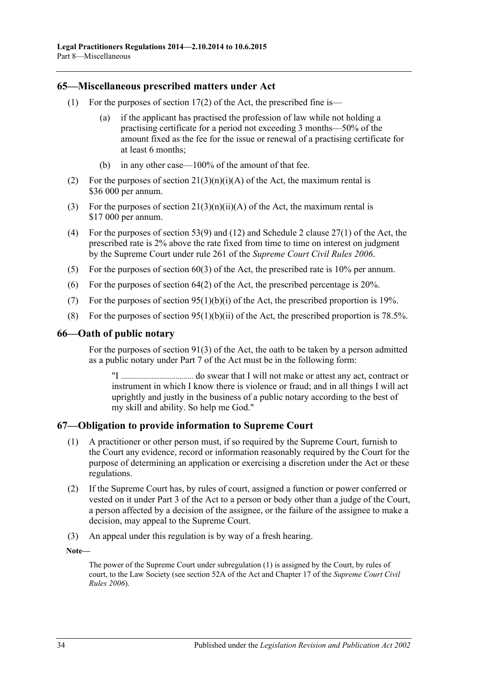#### <span id="page-33-0"></span>**65—Miscellaneous prescribed matters under Act**

- (1) For the purposes of section  $17(2)$  of the Act, the prescribed fine is—
	- (a) if the applicant has practised the profession of law while not holding a practising certificate for a period not exceeding 3 months—50% of the amount fixed as the fee for the issue or renewal of a practising certificate for at least 6 months;
	- (b) in any other case—100% of the amount of that fee.
- (2) For the purposes of section  $21(3)(n)(i)(A)$  of the Act, the maximum rental is \$36 000 per annum.
- (3) For the purposes of section  $21(3)(n)(ii)(A)$  of the Act, the maximum rental is \$17 000 per annum.
- (4) For the purposes of section 53(9) and (12) and Schedule 2 clause 27(1) of the Act, the prescribed rate is 2% above the rate fixed from time to time on interest on judgment by the Supreme Court under rule 261 of the *Supreme Court Civil Rules 2006*.
- (5) For the purposes of section  $60(3)$  of the Act, the prescribed rate is 10% per annum.
- (6) For the purposes of section 64(2) of the Act, the prescribed percentage is 20%.
- (7) For the purposes of section  $95(1)(b)(i)$  of the Act, the prescribed proportion is 19%.
- (8) For the purposes of section  $95(1)(b)(ii)$  of the Act, the prescribed proportion is 78.5%.

#### <span id="page-33-1"></span>**66—Oath of public notary**

For the purposes of section 91(3) of the Act, the oath to be taken by a person admitted as a public notary under Part 7 of the Act must be in the following form:

"I .................................... do swear that I will not make or attest any act, contract or instrument in which I know there is violence or fraud; and in all things I will act uprightly and justly in the business of a public notary according to the best of my skill and ability. So help me God."

#### <span id="page-33-3"></span><span id="page-33-2"></span>**67—Obligation to provide information to Supreme Court**

- (1) A practitioner or other person must, if so required by the Supreme Court, furnish to the Court any evidence, record or information reasonably required by the Court for the purpose of determining an application or exercising a discretion under the Act or these regulations.
- (2) If the Supreme Court has, by rules of court, assigned a function or power conferred or vested on it under Part 3 of the Act to a person or body other than a judge of the Court, a person affected by a decision of the assignee, or the failure of the assignee to make a decision, may appeal to the Supreme Court.
- (3) An appeal under this regulation is by way of a fresh hearing.

**Note—**

The power of the Supreme Court under [subregulation](#page-33-3) (1) is assigned by the Court, by rules of court, to the Law Society (see section 52A of the Act and Chapter 17 of the *Supreme Court Civil Rules 2006*).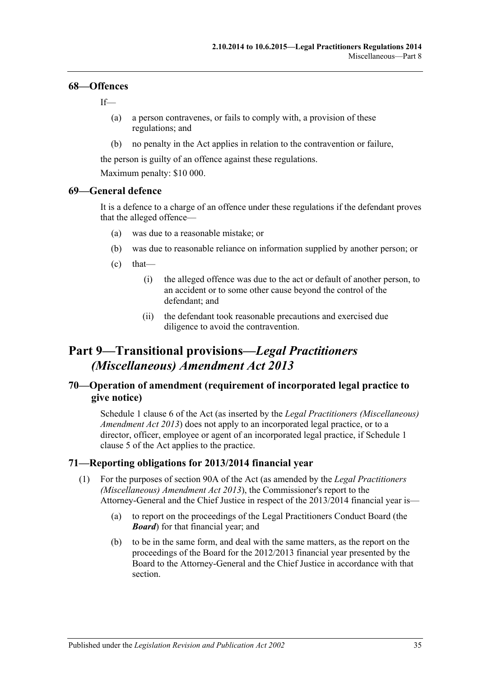#### <span id="page-34-0"></span>**68—Offences**

If—

- (a) a person contravenes, or fails to comply with, a provision of these regulations; and
- (b) no penalty in the Act applies in relation to the contravention or failure,

the person is guilty of an offence against these regulations.

Maximum penalty: \$10 000.

## <span id="page-34-1"></span>**69—General defence**

It is a defence to a charge of an offence under these regulations if the defendant proves that the alleged offence—

- (a) was due to a reasonable mistake; or
- (b) was due to reasonable reliance on information supplied by another person; or
- $(c)$  that—
	- (i) the alleged offence was due to the act or default of another person, to an accident or to some other cause beyond the control of the defendant; and
	- (ii) the defendant took reasonable precautions and exercised due diligence to avoid the contravention.

## <span id="page-34-2"></span>**Part 9—Transitional provisions—***Legal Practitioners (Miscellaneous) Amendment Act 2013*

## <span id="page-34-3"></span>**70—Operation of amendment (requirement of incorporated legal practice to give notice)**

Schedule 1 clause 6 of the Act (as inserted by the *[Legal Practitioners \(Miscellaneous\)](http://www.legislation.sa.gov.au/index.aspx?action=legref&type=act&legtitle=Legal%20Practitioners%20(Miscellaneous)%20Amendment%20Act%202013)  [Amendment Act](http://www.legislation.sa.gov.au/index.aspx?action=legref&type=act&legtitle=Legal%20Practitioners%20(Miscellaneous)%20Amendment%20Act%202013) 2013*) does not apply to an incorporated legal practice, or to a director, officer, employee or agent of an incorporated legal practice, if Schedule 1 clause 5 of the Act applies to the practice.

## <span id="page-34-5"></span><span id="page-34-4"></span>**71—Reporting obligations for 2013/2014 financial year**

- (1) For the purposes of section 90A of the Act (as amended by the *[Legal Practitioners](http://www.legislation.sa.gov.au/index.aspx?action=legref&type=act&legtitle=Legal%20Practitioners%20(Miscellaneous)%20Amendment%20Act%202013)  [\(Miscellaneous\) Amendment Act](http://www.legislation.sa.gov.au/index.aspx?action=legref&type=act&legtitle=Legal%20Practitioners%20(Miscellaneous)%20Amendment%20Act%202013) 2013*), the Commissioner's report to the Attorney-General and the Chief Justice in respect of the 2013/2014 financial year is—
	- (a) to report on the proceedings of the Legal Practitioners Conduct Board (the *Board*) for that financial year; and
	- (b) to be in the same form, and deal with the same matters, as the report on the proceedings of the Board for the 2012/2013 financial year presented by the Board to the Attorney-General and the Chief Justice in accordance with that section.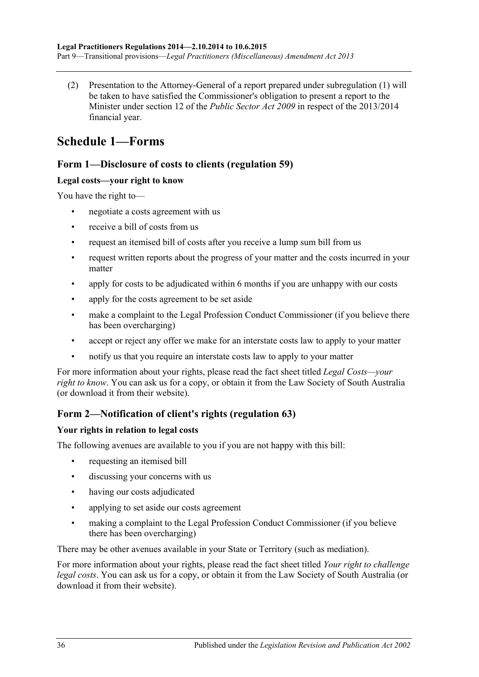(2) Presentation to the Attorney-General of a report prepared under [subregulation](#page-34-5) (1) will be taken to have satisfied the Commissioner's obligation to present a report to the Minister under section 12 of the *[Public Sector Act](http://www.legislation.sa.gov.au/index.aspx?action=legref&type=act&legtitle=Public%20Sector%20Act%202009) 2009* in respect of the 2013/2014 financial year.

# <span id="page-35-0"></span>**Schedule 1—Forms**

## **Form 1—Disclosure of costs to clients [\(regulation](#page-32-0) 59)**

## **Legal costs—your right to know**

You have the right to—

- negotiate a costs agreement with us
- receive a bill of costs from us
- request an itemised bill of costs after you receive a lump sum bill from us
- request written reports about the progress of your matter and the costs incurred in your matter
- apply for costs to be adjudicated within 6 months if you are unhappy with our costs
- apply for the costs agreement to be set aside
- make a complaint to the Legal Profession Conduct Commissioner (if you believe there has been overcharging)
- accept or reject any offer we make for an interstate costs law to apply to your matter
- notify us that you require an interstate costs law to apply to your matter

For more information about your rights, please read the fact sheet titled *Legal Costs—your right to know*. You can ask us for a copy, or obtain it from the Law Society of South Australia (or download it from their website).

## **Form 2—Notification of client's rights [\(regulation](#page-32-4) 63)**

## **Your rights in relation to legal costs**

The following avenues are available to you if you are not happy with this bill:

- requesting an itemised bill
- discussing your concerns with us
- having our costs adjudicated
- applying to set aside our costs agreement
- making a complaint to the Legal Profession Conduct Commissioner (if you believe there has been overcharging)

There may be other avenues available in your State or Territory (such as mediation).

For more information about your rights, please read the fact sheet titled *Your right to challenge legal costs*. You can ask us for a copy, or obtain it from the Law Society of South Australia (or download it from their website).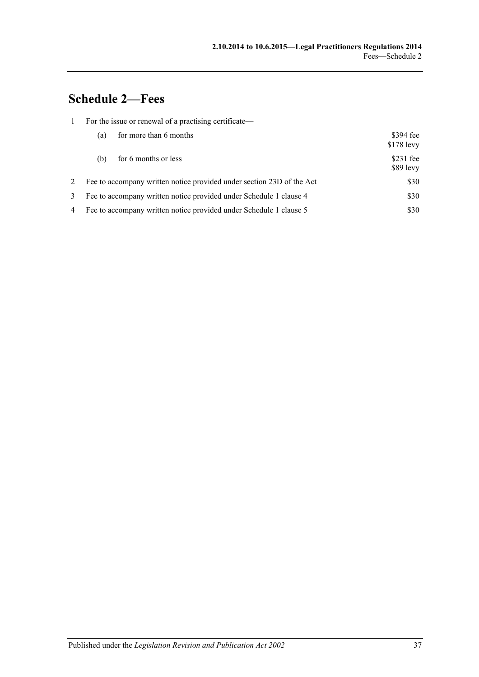# <span id="page-36-0"></span>**Schedule 2—Fees**

|   | For the issue or renewal of a practising certificate—              |                                                                       |                           |  |
|---|--------------------------------------------------------------------|-----------------------------------------------------------------------|---------------------------|--|
|   | (a)                                                                | for more than 6 months                                                | $$394$ fee<br>$$178$ levy |  |
|   | for 6 months or less<br>(b)                                        |                                                                       | $$231$ fee<br>$$89$ levy  |  |
| 2 |                                                                    | Fee to accompany written notice provided under section 23D of the Act | \$30                      |  |
| 3 | Fee to accompany written notice provided under Schedule 1 clause 4 |                                                                       | \$30                      |  |
| 4 | Fee to accompany written notice provided under Schedule 1 clause 5 |                                                                       | \$30                      |  |